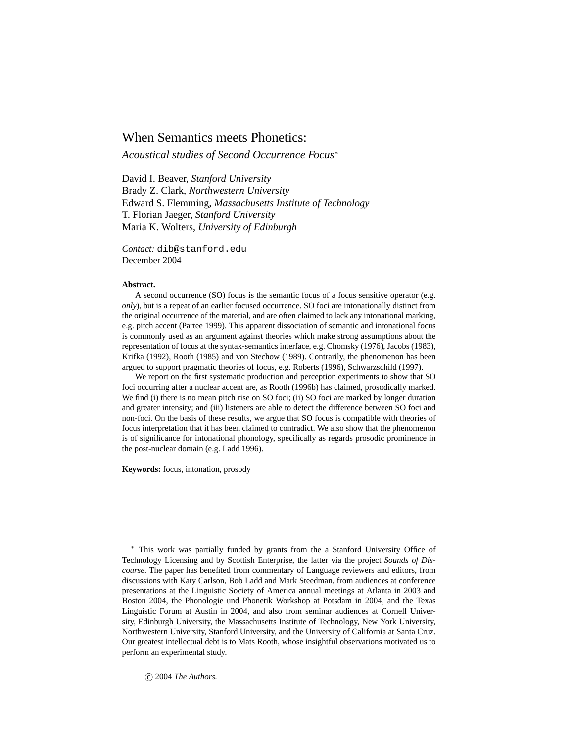# When Semantics meets Phonetics:

*Acoustical studies of Second Occurrence Focus*<sup>∗</sup>

David I. Beaver, *Stanford University* Brady Z. Clark, *Northwestern University* Edward S. Flemming, *Massachusetts Institute of Technology* T. Florian Jaeger, *Stanford University* Maria K. Wolters, *University of Edinburgh*

*Contact:* dib@stanford.edu December 2004

#### **Abstract.**

A second occurrence (SO) focus is the semantic focus of a focus sensitive operator (e.g. *only*), but is a repeat of an earlier focused occurrence. SO foci are intonationally distinct from the original occurrence of the material, and are often claimed to lack any intonational marking, e.g. pitch accent (Partee 1999). This apparent dissociation of semantic and intonational focus is commonly used as an argument against theories which make strong assumptions about the representation of focus at the syntax-semantics interface, e.g. Chomsky (1976), Jacobs (1983), Krifka (1992), Rooth (1985) and von Stechow (1989). Contrarily, the phenomenon has been argued to support pragmatic theories of focus, e.g. Roberts (1996), Schwarzschild (1997).

We report on the first systematic production and perception experiments to show that SO foci occurring after a nuclear accent are, as Rooth (1996b) has claimed, prosodically marked. We find (i) there is no mean pitch rise on SO foci; (ii) SO foci are marked by longer duration and greater intensity; and (iii) listeners are able to detect the difference between SO foci and non-foci. On the basis of these results, we argue that SO focus is compatible with theories of focus interpretation that it has been claimed to contradict. We also show that the phenomenon is of significance for intonational phonology, specifically as regards prosodic prominence in the post-nuclear domain (e.g. Ladd 1996).

**Keywords:** focus, intonation, prosody

 $© 2004$  *The Authors.* 

This work was partially funded by grants from the a Stanford University Office of Technology Licensing and by Scottish Enterprise, the latter via the project *Sounds of Discourse*. The paper has benefited from commentary of Language reviewers and editors, from discussions with Katy Carlson, Bob Ladd and Mark Steedman, from audiences at conference presentations at the Linguistic Society of America annual meetings at Atlanta in 2003 and Boston 2004, the Phonologie und Phonetik Workshop at Potsdam in 2004, and the Texas Linguistic Forum at Austin in 2004, and also from seminar audiences at Cornell University, Edinburgh University, the Massachusetts Institute of Technology, New York University, Northwestern University, Stanford University, and the University of California at Santa Cruz. Our greatest intellectual debt is to Mats Rooth, whose insightful observations motivated us to perform an experimental study.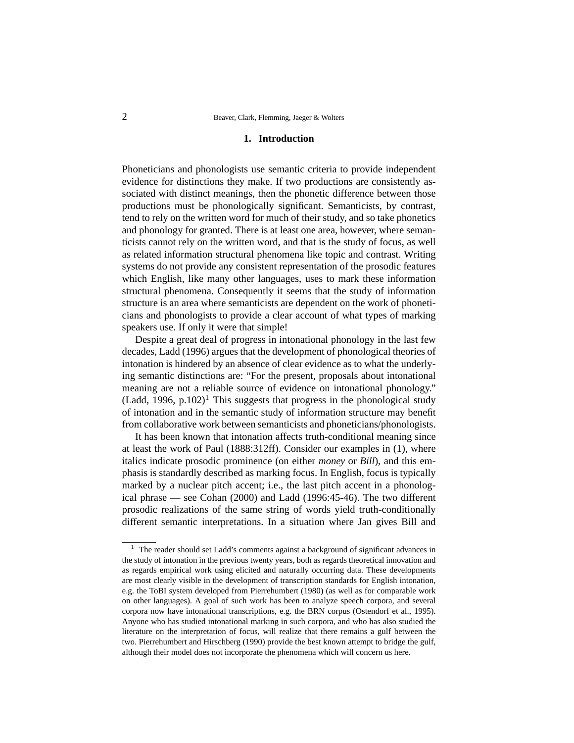### **1. Introduction**

Phoneticians and phonologists use semantic criteria to provide independent evidence for distinctions they make. If two productions are consistently associated with distinct meanings, then the phonetic difference between those productions must be phonologically significant. Semanticists, by contrast, tend to rely on the written word for much of their study, and so take phonetics and phonology for granted. There is at least one area, however, where semanticists cannot rely on the written word, and that is the study of focus, as well as related information structural phenomena like topic and contrast. Writing systems do not provide any consistent representation of the prosodic features which English, like many other languages, uses to mark these information structural phenomena. Consequently it seems that the study of information structure is an area where semanticists are dependent on the work of phoneticians and phonologists to provide a clear account of what types of marking speakers use. If only it were that simple!

Despite a great deal of progress in intonational phonology in the last few decades, Ladd (1996) argues that the development of phonological theories of intonation is hindered by an absence of clear evidence as to what the underlying semantic distinctions are: "For the present, proposals about intonational meaning are not a reliable source of evidence on intonational phonology." (Ladd, 1996, p.102)<sup>1</sup> This suggests that progress in the phonological study of intonation and in the semantic study of information structure may benefit from collaborative work between semanticists and phoneticians/phonologists.

It has been known that intonation affects truth-conditional meaning since at least the work of Paul (1888:312ff). Consider our examples in (1), where italics indicate prosodic prominence (on either *money* or *Bill*), and this emphasis is standardly described as marking focus. In English, focus is typically marked by a nuclear pitch accent; i.e., the last pitch accent in a phonological phrase — see Cohan (2000) and Ladd (1996:45-46). The two different prosodic realizations of the same string of words yield truth-conditionally different semantic interpretations. In a situation where Jan gives Bill and

 $1$  The reader should set Ladd's comments against a background of significant advances in the study of intonation in the previous twenty years, both as regards theoretical innovation and as regards empirical work using elicited and naturally occurring data. These developments are most clearly visible in the development of transcription standards for English intonation, e.g. the ToBI system developed from Pierrehumbert (1980) (as well as for comparable work on other languages). A goal of such work has been to analyze speech corpora, and several corpora now have intonational transcriptions, e.g. the BRN corpus (Ostendorf et al., 1995). Anyone who has studied intonational marking in such corpora, and who has also studied the literature on the interpretation of focus, will realize that there remains a gulf between the two. Pierrehumbert and Hirschberg (1990) provide the best known attempt to bridge the gulf, although their model does not incorporate the phenomena which will concern us here.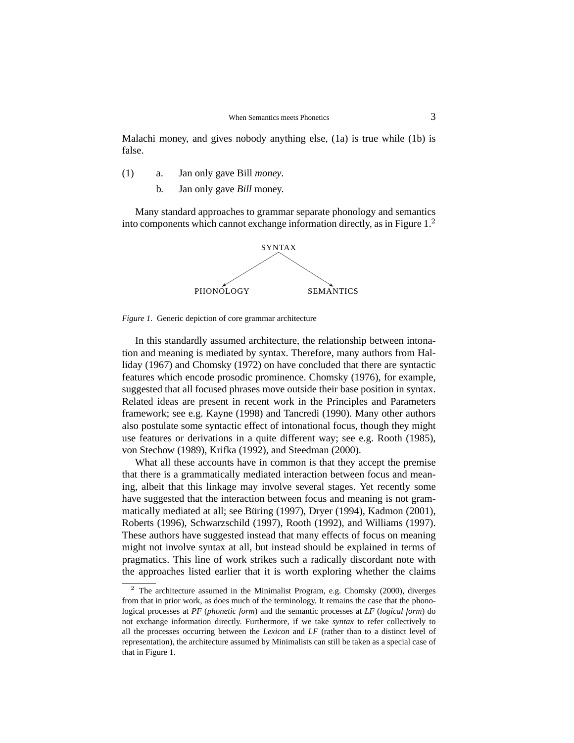Malachi money, and gives nobody anything else, (1a) is true while (1b) is false.

- (1) a. Jan only gave Bill *money*.
	- b. Jan only gave *Bill* money.

Many standard approaches to grammar separate phonology and semantics into components which cannot exchange information directly, as in Figure 1.<sup>2</sup>





In this standardly assumed architecture, the relationship between intonation and meaning is mediated by syntax. Therefore, many authors from Halliday (1967) and Chomsky (1972) on have concluded that there are syntactic features which encode prosodic prominence. Chomsky (1976), for example, suggested that all focused phrases move outside their base position in syntax. Related ideas are present in recent work in the Principles and Parameters framework; see e.g. Kayne (1998) and Tancredi (1990). Many other authors also postulate some syntactic effect of intonational focus, though they might use features or derivations in a quite different way; see e.g. Rooth (1985), von Stechow (1989), Krifka (1992), and Steedman (2000).

What all these accounts have in common is that they accept the premise that there is a grammatically mediated interaction between focus and meaning, albeit that this linkage may involve several stages. Yet recently some have suggested that the interaction between focus and meaning is not grammatically mediated at all; see Büring (1997), Dryer (1994), Kadmon (2001), Roberts (1996), Schwarzschild (1997), Rooth (1992), and Williams (1997). These authors have suggested instead that many effects of focus on meaning might not involve syntax at all, but instead should be explained in terms of pragmatics. This line of work strikes such a radically discordant note with the approaches listed earlier that it is worth exploring whether the claims

 $2$  The architecture assumed in the Minimalist Program, e.g. Chomsky (2000), diverges from that in prior work, as does much of the terminology. It remains the case that the phonological processes at *PF* (*phonetic form*) and the semantic processes at *LF* (*logical form*) do not exchange information directly. Furthermore, if we take *syntax* to refer collectively to all the processes occurring between the *Lexicon* and *LF* (rather than to a distinct level of representation), the architecture assumed by Minimalists can still be taken as a special case of that in Figure 1.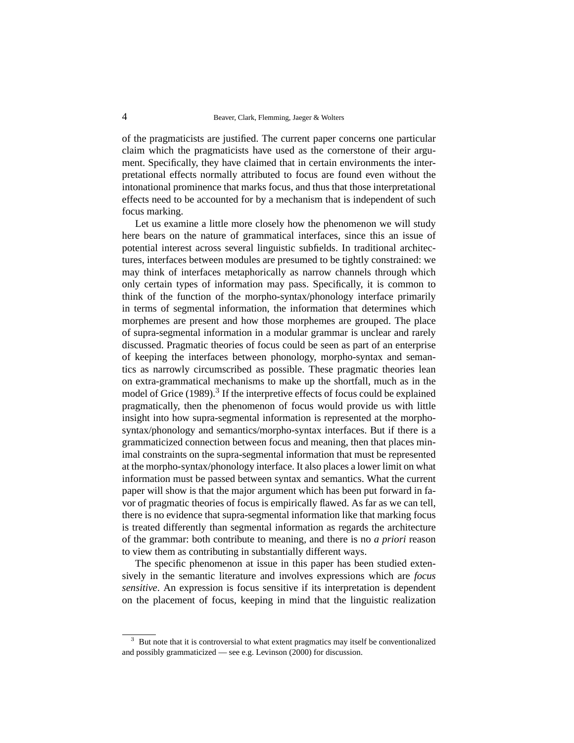of the pragmaticists are justified. The current paper concerns one particular claim which the pragmaticists have used as the cornerstone of their argument. Specifically, they have claimed that in certain environments the interpretational effects normally attributed to focus are found even without the intonational prominence that marks focus, and thus that those interpretational effects need to be accounted for by a mechanism that is independent of such focus marking.

Let us examine a little more closely how the phenomenon we will study here bears on the nature of grammatical interfaces, since this an issue of potential interest across several linguistic subfields. In traditional architectures, interfaces between modules are presumed to be tightly constrained: we may think of interfaces metaphorically as narrow channels through which only certain types of information may pass. Specifically, it is common to think of the function of the morpho-syntax/phonology interface primarily in terms of segmental information, the information that determines which morphemes are present and how those morphemes are grouped. The place of supra-segmental information in a modular grammar is unclear and rarely discussed. Pragmatic theories of focus could be seen as part of an enterprise of keeping the interfaces between phonology, morpho-syntax and semantics as narrowly circumscribed as possible. These pragmatic theories lean on extra-grammatical mechanisms to make up the shortfall, much as in the model of Grice (1989).<sup>3</sup> If the interpretive effects of focus could be explained pragmatically, then the phenomenon of focus would provide us with little insight into how supra-segmental information is represented at the morphosyntax/phonology and semantics/morpho-syntax interfaces. But if there is a grammaticized connection between focus and meaning, then that places minimal constraints on the supra-segmental information that must be represented at the morpho-syntax/phonology interface. It also places a lower limit on what information must be passed between syntax and semantics. What the current paper will show is that the major argument which has been put forward in favor of pragmatic theories of focus is empirically flawed. As far as we can tell, there is no evidence that supra-segmental information like that marking focus is treated differently than segmental information as regards the architecture of the grammar: both contribute to meaning, and there is no *a priori* reason to view them as contributing in substantially different ways.

The specific phenomenon at issue in this paper has been studied extensively in the semantic literature and involves expressions which are *focus sensitive*. An expression is focus sensitive if its interpretation is dependent on the placement of focus, keeping in mind that the linguistic realization

But note that it is controversial to what extent pragmatics may itself be conventionalized and possibly grammaticized — see e.g. Levinson (2000) for discussion.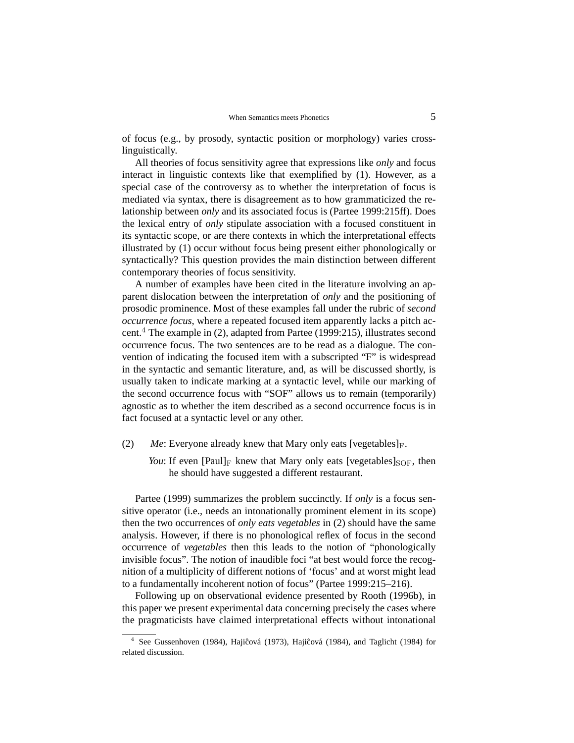of focus (e.g., by prosody, syntactic position or morphology) varies crosslinguistically.

All theories of focus sensitivity agree that expressions like *only* and focus interact in linguistic contexts like that exemplified by (1). However, as a special case of the controversy as to whether the interpretation of focus is mediated via syntax, there is disagreement as to how grammaticized the relationship between *only* and its associated focus is (Partee 1999:215ff). Does the lexical entry of *only* stipulate association with a focused constituent in its syntactic scope, or are there contexts in which the interpretational effects illustrated by (1) occur without focus being present either phonologically or syntactically? This question provides the main distinction between different contemporary theories of focus sensitivity.

A number of examples have been cited in the literature involving an apparent dislocation between the interpretation of *only* and the positioning of prosodic prominence. Most of these examples fall under the rubric of *second occurrence focus*, where a repeated focused item apparently lacks a pitch accent.<sup>4</sup> The example in (2), adapted from Partee (1999:215), illustrates second occurrence focus. The two sentences are to be read as a dialogue. The convention of indicating the focused item with a subscripted "F" is widespread in the syntactic and semantic literature, and, as will be discussed shortly, is usually taken to indicate marking at a syntactic level, while our marking of the second occurrence focus with "SOF" allows us to remain (temporarily) agnostic as to whether the item described as a second occurrence focus is in fact focused at a syntactic level or any other.

- (2)  $Me$ : Everyone already knew that Mary only eats [vegetables]<sub>F</sub>.
	- *You*: If even  $[Paul]_F$  knew that Mary only eats  $[vegetables]_{SOF}$ , then he should have suggested a different restaurant.

Partee (1999) summarizes the problem succinctly. If *only* is a focus sensitive operator (i.e., needs an intonationally prominent element in its scope) then the two occurrences of *only eats vegetables* in (2) should have the same analysis. However, if there is no phonological reflex of focus in the second occurrence of *vegetables* then this leads to the notion of "phonologically invisible focus". The notion of inaudible foci "at best would force the recognition of a multiplicity of different notions of 'focus' and at worst might lead to a fundamentally incoherent notion of focus" (Partee 1999:215–216).

Following up on observational evidence presented by Rooth (1996b), in this paper we present experimental data concerning precisely the cases where the pragmaticists have claimed interpretational effects without intonational

<sup>4</sup> See Gussenhoven (1984), Hajiĉová (1973), Hajiĉová (1984), and Taglicht (1984) for related discussion.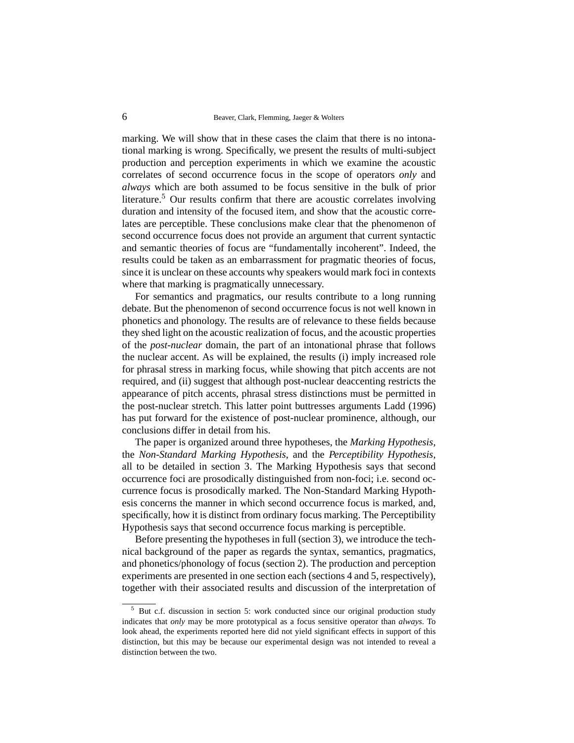marking. We will show that in these cases the claim that there is no intonational marking is wrong. Specifically, we present the results of multi-subject production and perception experiments in which we examine the acoustic correlates of second occurrence focus in the scope of operators *only* and *always* which are both assumed to be focus sensitive in the bulk of prior literature.<sup>5</sup> Our results confirm that there are acoustic correlates involving duration and intensity of the focused item, and show that the acoustic correlates are perceptible. These conclusions make clear that the phenomenon of second occurrence focus does not provide an argument that current syntactic and semantic theories of focus are "fundamentally incoherent". Indeed, the results could be taken as an embarrassment for pragmatic theories of focus, since it is unclear on these accounts why speakers would mark foci in contexts where that marking is pragmatically unnecessary.

For semantics and pragmatics, our results contribute to a long running debate. But the phenomenon of second occurrence focus is not well known in phonetics and phonology. The results are of relevance to these fields because they shed light on the acoustic realization of focus, and the acoustic properties of the *post-nuclear* domain, the part of an intonational phrase that follows the nuclear accent. As will be explained, the results (i) imply increased role for phrasal stress in marking focus, while showing that pitch accents are not required, and (ii) suggest that although post-nuclear deaccenting restricts the appearance of pitch accents, phrasal stress distinctions must be permitted in the post-nuclear stretch. This latter point buttresses arguments Ladd (1996) has put forward for the existence of post-nuclear prominence, although, our conclusions differ in detail from his.

The paper is organized around three hypotheses, the *Marking Hypothesis*, the *Non-Standard Marking Hypothesis*, and the *Perceptibility Hypothesis*, all to be detailed in section 3. The Marking Hypothesis says that second occurrence foci are prosodically distinguished from non-foci; i.e. second occurrence focus is prosodically marked. The Non-Standard Marking Hypothesis concerns the manner in which second occurrence focus is marked, and, specifically, how it is distinct from ordinary focus marking. The Perceptibility Hypothesis says that second occurrence focus marking is perceptible.

Before presenting the hypotheses in full (section 3), we introduce the technical background of the paper as regards the syntax, semantics, pragmatics, and phonetics/phonology of focus (section 2). The production and perception experiments are presented in one section each (sections 4 and 5, respectively), together with their associated results and discussion of the interpretation of

<sup>5</sup> But c.f. discussion in section 5: work conducted since our original production study indicates that *only* may be more prototypical as a focus sensitive operator than *always*. To look ahead, the experiments reported here did not yield significant effects in support of this distinction, but this may be because our experimental design was not intended to reveal a distinction between the two.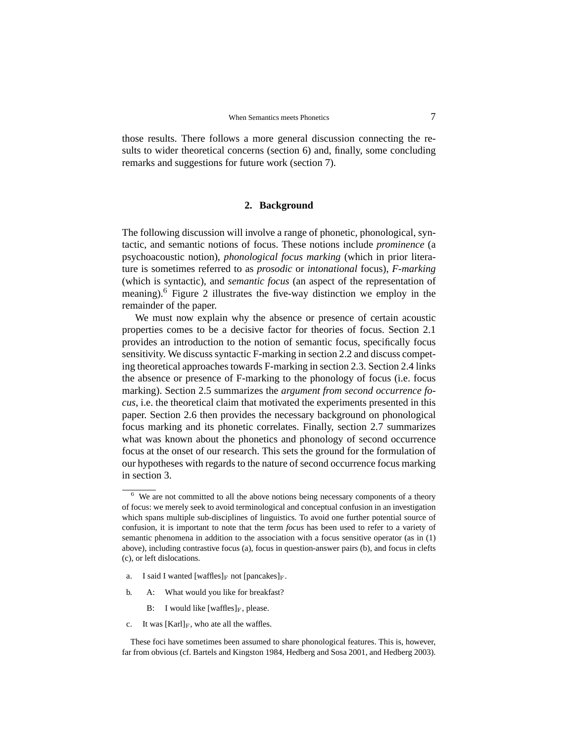those results. There follows a more general discussion connecting the results to wider theoretical concerns (section 6) and, finally, some concluding remarks and suggestions for future work (section 7).

#### **2. Background**

The following discussion will involve a range of phonetic, phonological, syntactic, and semantic notions of focus. These notions include *prominence* (a psychoacoustic notion), *phonological focus marking* (which in prior literature is sometimes referred to as *prosodic* or *intonational* focus), *F-marking* (which is syntactic), and *semantic focus* (an aspect of the representation of meaning).<sup>6</sup> Figure 2 illustrates the five-way distinction we employ in the remainder of the paper.

We must now explain why the absence or presence of certain acoustic properties comes to be a decisive factor for theories of focus. Section 2.1 provides an introduction to the notion of semantic focus, specifically focus sensitivity. We discuss syntactic F-marking in section 2.2 and discuss competing theoretical approaches towards F-marking in section 2.3. Section 2.4 links the absence or presence of F-marking to the phonology of focus (i.e. focus marking). Section 2.5 summarizes the *argument from second occurrence focus*, i.e. the theoretical claim that motivated the experiments presented in this paper. Section 2.6 then provides the necessary background on phonological focus marking and its phonetic correlates. Finally, section 2.7 summarizes what was known about the phonetics and phonology of second occurrence focus at the onset of our research. This sets the ground for the formulation of our hypotheses with regards to the nature of second occurrence focus marking in section 3.

- a. I said I wanted [waffles] $_F$  not [pancakes] $_F$ .
- b. A: What would you like for breakfast?
	- B: I would like  $[waffles]_F$ , please.
- c. It was  $[Karl]_F$ , who ate all the waffles.

These foci have sometimes been assumed to share phonological features. This is, however, far from obvious (cf. Bartels and Kingston 1984, Hedberg and Sosa 2001, and Hedberg 2003).

 $6\,$  We are not committed to all the above notions being necessary components of a theory of focus: we merely seek to avoid terminological and conceptual confusion in an investigation which spans multiple sub-disciplines of linguistics. To avoid one further potential source of confusion, it is important to note that the term *focus* has been used to refer to a variety of semantic phenomena in addition to the association with a focus sensitive operator (as in (1) above), including contrastive focus (a), focus in question-answer pairs (b), and focus in clefts (c), or left dislocations.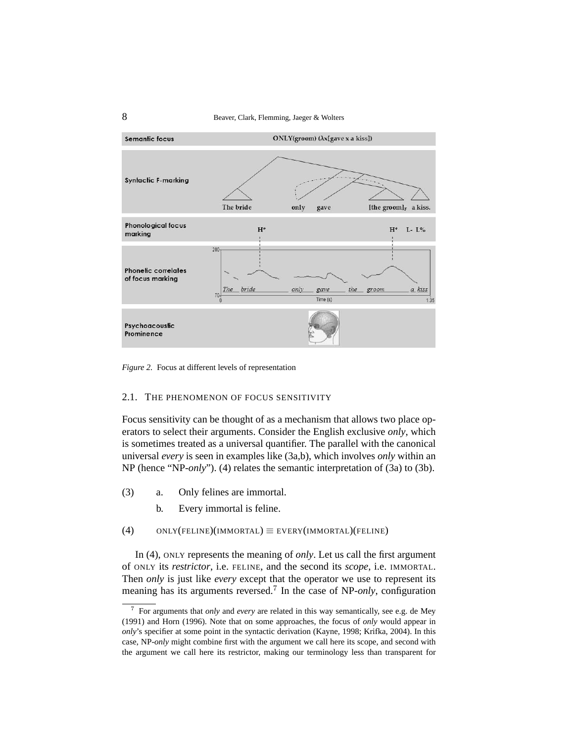8 Beaver, Clark, Flemming, Jaeger & Wolters



*Figure 2.* Focus at different levels of representation

## 2.1. THE PHENOMENON OF FOCUS SENSITIVITY

Focus sensitivity can be thought of as a mechanism that allows two place operators to select their arguments. Consider the English exclusive *only*, which is sometimes treated as a universal quantifier. The parallel with the canonical universal *every* is seen in examples like (3a,b), which involves *only* within an NP (hence "NP-*only*"). (4) relates the semantic interpretation of (3a) to (3b).

- (3) a. Only felines are immortal.
	- b. Every immortal is feline.

(4) ONLY(FELINE)(IMMORTAL)  $\equiv$  EVERY(IMMORTAL)(FELINE)

In (4), ONLY represents the meaning of *only*. Let us call the first argument of ONLY its *restrictor*, i.e. FELINE, and the second its *scope*, i.e. IMMORTAL. Then *only* is just like *every* except that the operator we use to represent its meaning has its arguments reversed.<sup>7</sup> In the case of NP-*only*, configuration

<sup>7</sup> For arguments that *only* and *every* are related in this way semantically, see e.g. de Mey (1991) and Horn (1996). Note that on some approaches, the focus of *only* would appear in *only*'s specifier at some point in the syntactic derivation (Kayne, 1998; Krifka, 2004). In this case, NP-*only* might combine first with the argument we call here its scope, and second with the argument we call here its restrictor, making our terminology less than transparent for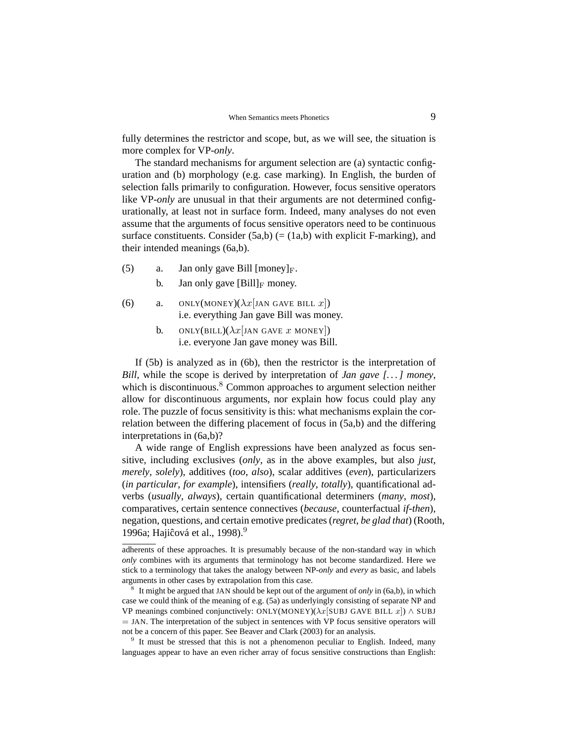fully determines the restrictor and scope, but, as we will see, the situation is more complex for VP-*only*.

The standard mechanisms for argument selection are (a) syntactic configuration and (b) morphology (e.g. case marking). In English, the burden of selection falls primarily to configuration. However, focus sensitive operators like VP-*only* are unusual in that their arguments are not determined configurationally, at least not in surface form. Indeed, many analyses do not even assume that the arguments of focus sensitive operators need to be continuous surface constituents. Consider  $(5a,b)$  (=  $(1a,b)$  with explicit F-marking), and their intended meanings (6a,b).

- (5) a. Jan only gave Bill  $[money]_F$ .
	- b. Jan only gave  $[Bill]_F$  money.
- (6) a. ONLY(MONEY)( $\lambda x$ [JAN GAVE BILL x]) i.e. everything Jan gave Bill was money.
	- b. ONLY(BILL)( $\lambda x$ [JAN GAVE x MONEY]) i.e. everyone Jan gave money was Bill.

If (5b) is analyzed as in (6b), then the restrictor is the interpretation of *Bill*, while the scope is derived by interpretation of *Jan gave [. . . ] money*, which is discontinuous. $8 \text{ Common approaches to argument selection neither}$ allow for discontinuous arguments, nor explain how focus could play any role. The puzzle of focus sensitivity is this: what mechanisms explain the correlation between the differing placement of focus in (5a,b) and the differing interpretations in (6a,b)?

A wide range of English expressions have been analyzed as focus sensitive, including exclusives (*only*, as in the above examples, but also *just*, *merely*, *solely*), additives (*too*, *also*), scalar additives (*even*), particularizers (*in particular*, *for example*), intensifiers (*really*, *totally*), quantificational adverbs (*usually*, *always*), certain quantificational determiners (*many*, *most*), comparatives, certain sentence connectives (*because*, counterfactual *if-then*), negation, questions, and certain emotive predicates (*regret*, *be glad that*) (Rooth, 1996a; Hajiĉová et al., 1998).<sup>9</sup>

<sup>9</sup> It must be stressed that this is not a phenomenon peculiar to English. Indeed, many languages appear to have an even richer array of focus sensitive constructions than English:

adherents of these approaches. It is presumably because of the non-standard way in which *only* combines with its arguments that terminology has not become standardized. Here we stick to a terminology that takes the analogy between NP-*only* and *every* as basic, and labels arguments in other cases by extrapolation from this case.

<sup>8</sup> It might be argued that JAN should be kept out of the argument of *only* in (6a,b), in which case we could think of the meaning of e.g. (5a) as underlyingly consisting of separate NP and VP meanings combined conjunctively: ONLY(MONEY)( $\lambda x$ [SUBJ GAVE BILL x])  $\wedge$  SUBJ = JAN. The interpretation of the subject in sentences with VP focus sensitive operators will not be a concern of this paper. See Beaver and Clark (2003) for an analysis.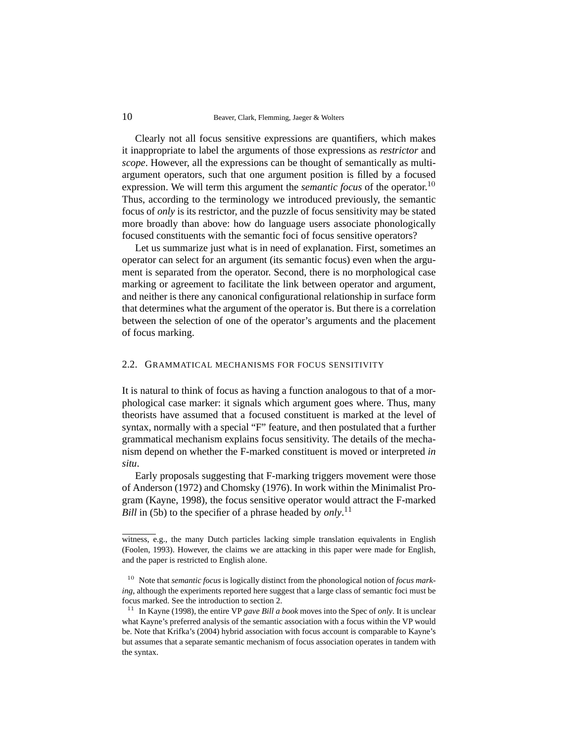Clearly not all focus sensitive expressions are quantifiers, which makes it inappropriate to label the arguments of those expressions as *restrictor* and *scope*. However, all the expressions can be thought of semantically as multiargument operators, such that one argument position is filled by a focused expression. We will term this argument the *semantic focus* of the operator.<sup>10</sup> Thus, according to the terminology we introduced previously, the semantic focus of *only* is its restrictor, and the puzzle of focus sensitivity may be stated more broadly than above: how do language users associate phonologically focused constituents with the semantic foci of focus sensitive operators?

Let us summarize just what is in need of explanation. First, sometimes an operator can select for an argument (its semantic focus) even when the argument is separated from the operator. Second, there is no morphological case marking or agreement to facilitate the link between operator and argument, and neither is there any canonical configurational relationship in surface form that determines what the argument of the operator is. But there is a correlation between the selection of one of the operator's arguments and the placement of focus marking.

#### 2.2. GRAMMATICAL MECHANISMS FOR FOCUS SENSITIVITY

It is natural to think of focus as having a function analogous to that of a morphological case marker: it signals which argument goes where. Thus, many theorists have assumed that a focused constituent is marked at the level of syntax, normally with a special "F" feature, and then postulated that a further grammatical mechanism explains focus sensitivity. The details of the mechanism depend on whether the F-marked constituent is moved or interpreted *in situ*.

Early proposals suggesting that F-marking triggers movement were those of Anderson (1972) and Chomsky (1976). In work within the Minimalist Program (Kayne, 1998), the focus sensitive operator would attract the F-marked *Bill* in (5b) to the specifier of a phrase headed by *only*.<sup>11</sup>

witness, e.g., the many Dutch particles lacking simple translation equivalents in English (Foolen, 1993). However, the claims we are attacking in this paper were made for English, and the paper is restricted to English alone.

<sup>10</sup> Note that *semantic focus* is logically distinct from the phonological notion of *focus marking*, although the experiments reported here suggest that a large class of semantic foci must be focus marked. See the introduction to section 2.

<sup>11</sup> In Kayne (1998), the entire VP *gave Bill a book* moves into the Spec of *only*. It is unclear what Kayne's preferred analysis of the semantic association with a focus within the VP would be. Note that Krifka's (2004) hybrid association with focus account is comparable to Kayne's but assumes that a separate semantic mechanism of focus association operates in tandem with the syntax.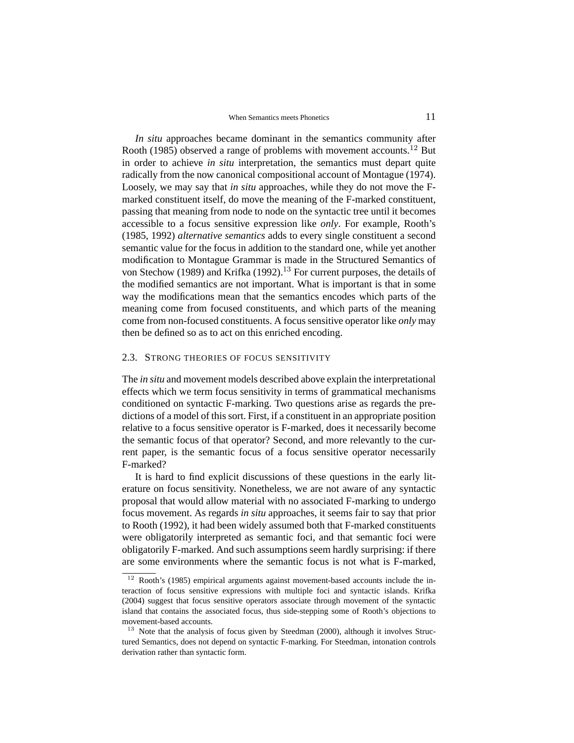*In situ* approaches became dominant in the semantics community after Rooth (1985) observed a range of problems with movement accounts.<sup>12</sup> But in order to achieve *in situ* interpretation, the semantics must depart quite radically from the now canonical compositional account of Montague (1974). Loosely, we may say that *in situ* approaches, while they do not move the Fmarked constituent itself, do move the meaning of the F-marked constituent, passing that meaning from node to node on the syntactic tree until it becomes accessible to a focus sensitive expression like *only*. For example, Rooth's (1985, 1992) *alternative semantics* adds to every single constituent a second semantic value for the focus in addition to the standard one, while yet another modification to Montague Grammar is made in the Structured Semantics of von Stechow (1989) and Krifka (1992).<sup>13</sup> For current purposes, the details of the modified semantics are not important. What is important is that in some way the modifications mean that the semantics encodes which parts of the meaning come from focused constituents, and which parts of the meaning come from non-focused constituents. A focus sensitive operator like *only* may then be defined so as to act on this enriched encoding.

#### 2.3. STRONG THEORIES OF FOCUS SENSITIVITY

The *in situ* and movement models described above explain the interpretational effects which we term focus sensitivity in terms of grammatical mechanisms conditioned on syntactic F-marking. Two questions arise as regards the predictions of a model of this sort. First, if a constituent in an appropriate position relative to a focus sensitive operator is F-marked, does it necessarily become the semantic focus of that operator? Second, and more relevantly to the current paper, is the semantic focus of a focus sensitive operator necessarily F-marked?

It is hard to find explicit discussions of these questions in the early literature on focus sensitivity. Nonetheless, we are not aware of any syntactic proposal that would allow material with no associated F-marking to undergo focus movement. As regards *in situ* approaches, it seems fair to say that prior to Rooth (1992), it had been widely assumed both that F-marked constituents were obligatorily interpreted as semantic foci, and that semantic foci were obligatorily F-marked. And such assumptions seem hardly surprising: if there are some environments where the semantic focus is not what is F-marked,

 $12$  Rooth's (1985) empirical arguments against movement-based accounts include the interaction of focus sensitive expressions with multiple foci and syntactic islands. Krifka (2004) suggest that focus sensitive operators associate through movement of the syntactic island that contains the associated focus, thus side-stepping some of Rooth's objections to movement-based accounts.

 $13$  Note that the analysis of focus given by Steedman (2000), although it involves Structured Semantics, does not depend on syntactic F-marking. For Steedman, intonation controls derivation rather than syntactic form.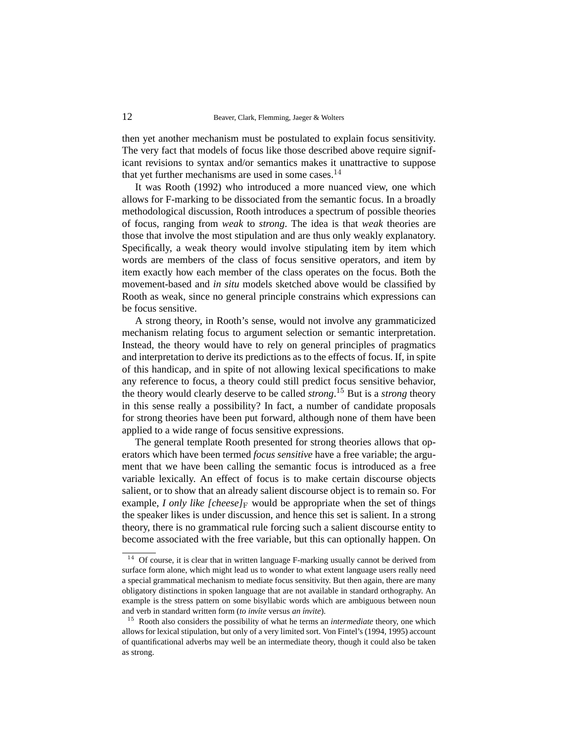then yet another mechanism must be postulated to explain focus sensitivity. The very fact that models of focus like those described above require significant revisions to syntax and/or semantics makes it unattractive to suppose that yet further mechanisms are used in some cases. $14$ 

It was Rooth (1992) who introduced a more nuanced view, one which allows for F-marking to be dissociated from the semantic focus. In a broadly methodological discussion, Rooth introduces a spectrum of possible theories of focus, ranging from *weak* to *strong*. The idea is that *weak* theories are those that involve the most stipulation and are thus only weakly explanatory. Specifically, a weak theory would involve stipulating item by item which words are members of the class of focus sensitive operators, and item by item exactly how each member of the class operates on the focus. Both the movement-based and *in situ* models sketched above would be classified by Rooth as weak, since no general principle constrains which expressions can be focus sensitive.

A strong theory, in Rooth's sense, would not involve any grammaticized mechanism relating focus to argument selection or semantic interpretation. Instead, the theory would have to rely on general principles of pragmatics and interpretation to derive its predictions as to the effects of focus. If, in spite of this handicap, and in spite of not allowing lexical specifications to make any reference to focus, a theory could still predict focus sensitive behavior, the theory would clearly deserve to be called *strong*. <sup>15</sup> But is a *strong* theory in this sense really a possibility? In fact, a number of candidate proposals for strong theories have been put forward, although none of them have been applied to a wide range of focus sensitive expressions.

The general template Rooth presented for strong theories allows that operators which have been termed *focus sensitive* have a free variable; the argument that we have been calling the semantic focus is introduced as a free variable lexically. An effect of focus is to make certain discourse objects salient, or to show that an already salient discourse object is to remain so. For example, *I only like [cheese]* $_F$  would be appropriate when the set of things the speaker likes is under discussion, and hence this set is salient. In a strong theory, there is no grammatical rule forcing such a salient discourse entity to become associated with the free variable, but this can optionally happen. On

<sup>&</sup>lt;sup>14</sup> Of course, it is clear that in written language F-marking usually cannot be derived from surface form alone, which might lead us to wonder to what extent language users really need a special grammatical mechanism to mediate focus sensitivity. But then again, there are many obligatory distinctions in spoken language that are not available in standard orthography. An example is the stress pattern on some bisyllabic words which are ambiguous between noun and verb in standard written form (to invite versus an *ínvite*).

<sup>15</sup> Rooth also considers the possibility of what he terms an *intermediate* theory, one which allows for lexical stipulation, but only of a very limited sort. Von Fintel's (1994, 1995) account of quantificational adverbs may well be an intermediate theory, though it could also be taken as strong.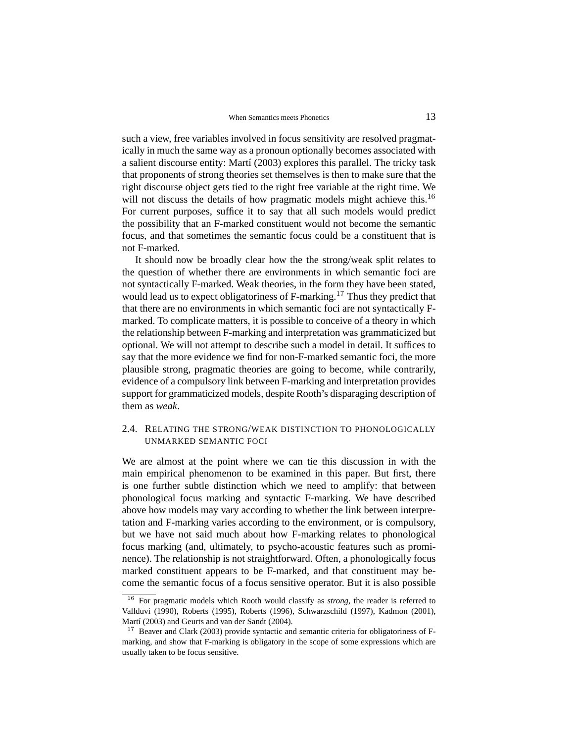such a view, free variables involved in focus sensitivity are resolved pragmatically in much the same way as a pronoun optionally becomes associated with a salient discourse entity: Martí (2003) explores this parallel. The tricky task that proponents of strong theories set themselves is then to make sure that the right discourse object gets tied to the right free variable at the right time. We will not discuss the details of how pragmatic models might achieve this.<sup>16</sup> For current purposes, suffice it to say that all such models would predict the possibility that an F-marked constituent would not become the semantic focus, and that sometimes the semantic focus could be a constituent that is not F-marked.

It should now be broadly clear how the the strong/weak split relates to the question of whether there are environments in which semantic foci are not syntactically F-marked. Weak theories, in the form they have been stated, would lead us to expect obligatoriness of F-marking.<sup>17</sup> Thus they predict that that there are no environments in which semantic foci are not syntactically Fmarked. To complicate matters, it is possible to conceive of a theory in which the relationship between F-marking and interpretation was grammaticized but optional. We will not attempt to describe such a model in detail. It suffices to say that the more evidence we find for non-F-marked semantic foci, the more plausible strong, pragmatic theories are going to become, while contrarily, evidence of a compulsory link between F-marking and interpretation provides support for grammaticized models, despite Rooth's disparaging description of them as *weak*.

## 2.4. RELATING THE STRONG/WEAK DISTINCTION TO PHONOLOGICALLY UNMARKED SEMANTIC FOCI

We are almost at the point where we can tie this discussion in with the main empirical phenomenon to be examined in this paper. But first, there is one further subtle distinction which we need to amplify: that between phonological focus marking and syntactic F-marking. We have described above how models may vary according to whether the link between interpretation and F-marking varies according to the environment, or is compulsory, but we have not said much about how F-marking relates to phonological focus marking (and, ultimately, to psycho-acoustic features such as prominence). The relationship is not straightforward. Often, a phonologically focus marked constituent appears to be F-marked, and that constituent may become the semantic focus of a focus sensitive operator. But it is also possible

<sup>16</sup> For pragmatic models which Rooth would classify as *strong*, the reader is referred to Vallduv´ı (1990), Roberts (1995), Roberts (1996), Schwarzschild (1997), Kadmon (2001), Martí (2003) and Geurts and van der Sandt (2004).

<sup>&</sup>lt;sup>17</sup> Beaver and Clark (2003) provide syntactic and semantic criteria for obligatoriness of Fmarking, and show that F-marking is obligatory in the scope of some expressions which are usually taken to be focus sensitive.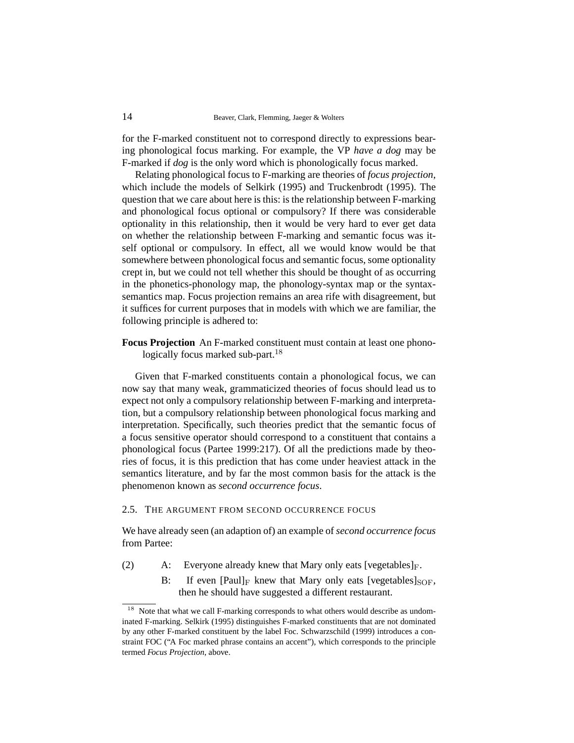for the F-marked constituent not to correspond directly to expressions bearing phonological focus marking. For example, the VP *have a dog* may be F-marked if *dog* is the only word which is phonologically focus marked.

Relating phonological focus to F-marking are theories of *focus projection*, which include the models of Selkirk (1995) and Truckenbrodt (1995). The question that we care about here is this: is the relationship between F-marking and phonological focus optional or compulsory? If there was considerable optionality in this relationship, then it would be very hard to ever get data on whether the relationship between F-marking and semantic focus was itself optional or compulsory. In effect, all we would know would be that somewhere between phonological focus and semantic focus, some optionality crept in, but we could not tell whether this should be thought of as occurring in the phonetics-phonology map, the phonology-syntax map or the syntaxsemantics map. Focus projection remains an area rife with disagreement, but it suffices for current purposes that in models with which we are familiar, the following principle is adhered to:

**Focus Projection** An F-marked constituent must contain at least one phonologically focus marked sub-part.<sup>18</sup>

Given that F-marked constituents contain a phonological focus, we can now say that many weak, grammaticized theories of focus should lead us to expect not only a compulsory relationship between F-marking and interpretation, but a compulsory relationship between phonological focus marking and interpretation. Specifically, such theories predict that the semantic focus of a focus sensitive operator should correspond to a constituent that contains a phonological focus (Partee 1999:217). Of all the predictions made by theories of focus, it is this prediction that has come under heaviest attack in the semantics literature, and by far the most common basis for the attack is the phenomenon known as *second occurrence focus*.

#### 2.5. THE ARGUMENT FROM SECOND OCCURRENCE FOCUS

We have already seen (an adaption of) an example of *second occurrence focus* from Partee:

- (2) A: Everyone already knew that Mary only eats [vegetables] $_F$ .
	- B: If even  $[Paul]_F$  knew that Mary only eats  $[vegetables]_{SOF}$ , then he should have suggested a different restaurant.

Note that what we call F-marking corresponds to what others would describe as undominated F-marking. Selkirk (1995) distinguishes F-marked constituents that are not dominated by any other F-marked constituent by the label Foc. Schwarzschild (1999) introduces a constraint FOC ("A Foc marked phrase contains an accent"), which corresponds to the principle termed *Focus Projection*, above.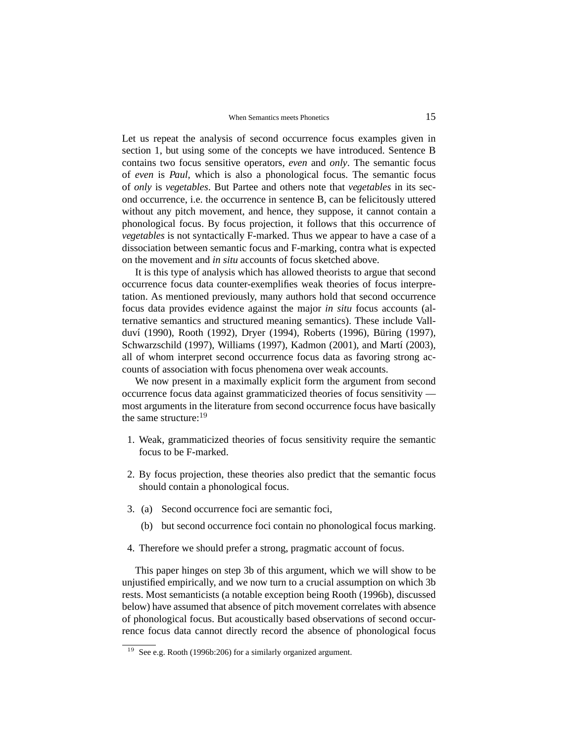Let us repeat the analysis of second occurrence focus examples given in section 1, but using some of the concepts we have introduced. Sentence B contains two focus sensitive operators, *even* and *only*. The semantic focus of *even* is *Paul*, which is also a phonological focus. The semantic focus of *only* is *vegetables*. But Partee and others note that *vegetables* in its second occurrence, i.e. the occurrence in sentence B, can be felicitously uttered without any pitch movement, and hence, they suppose, it cannot contain a phonological focus. By focus projection, it follows that this occurrence of *vegetables* is not syntactically F-marked. Thus we appear to have a case of a dissociation between semantic focus and F-marking, contra what is expected on the movement and *in situ* accounts of focus sketched above.

It is this type of analysis which has allowed theorists to argue that second occurrence focus data counter-exemplifies weak theories of focus interpretation. As mentioned previously, many authors hold that second occurrence focus data provides evidence against the major *in situ* focus accounts (alternative semantics and structured meaning semantics). These include Vallduví (1990), Rooth (1992), Dryer (1994), Roberts (1996), Büring (1997), Schwarzschild (1997), Williams (1997), Kadmon (2001), and Martí (2003), all of whom interpret second occurrence focus data as favoring strong accounts of association with focus phenomena over weak accounts.

We now present in a maximally explicit form the argument from second occurrence focus data against grammaticized theories of focus sensitivity most arguments in the literature from second occurrence focus have basically the same structure:<sup>19</sup>

- 1. Weak, grammaticized theories of focus sensitivity require the semantic focus to be F-marked.
- 2. By focus projection, these theories also predict that the semantic focus should contain a phonological focus.
- 3. (a) Second occurrence foci are semantic foci,
	- (b) but second occurrence foci contain no phonological focus marking.
- 4. Therefore we should prefer a strong, pragmatic account of focus.

This paper hinges on step 3b of this argument, which we will show to be unjustified empirically, and we now turn to a crucial assumption on which 3b rests. Most semanticists (a notable exception being Rooth (1996b), discussed below) have assumed that absence of pitch movement correlates with absence of phonological focus. But acoustically based observations of second occurrence focus data cannot directly record the absence of phonological focus

<sup>&</sup>lt;sup>19</sup> See e.g. Rooth (1996b:206) for a similarly organized argument.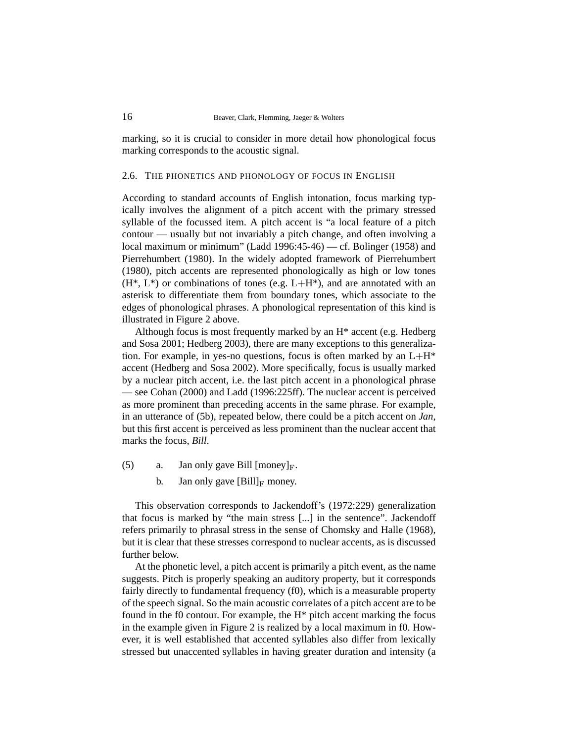marking, so it is crucial to consider in more detail how phonological focus marking corresponds to the acoustic signal.

#### 2.6. THE PHONETICS AND PHONOLOGY OF FOCUS IN ENGLISH

According to standard accounts of English intonation, focus marking typically involves the alignment of a pitch accent with the primary stressed syllable of the focussed item. A pitch accent is "a local feature of a pitch contour — usually but not invariably a pitch change, and often involving a local maximum or minimum" (Ladd 1996:45-46) — cf. Bolinger (1958) and Pierrehumbert (1980). In the widely adopted framework of Pierrehumbert (1980), pitch accents are represented phonologically as high or low tones  $(H^*, L^*)$  or combinations of tones (e.g.  $L+H^*$ ), and are annotated with an asterisk to differentiate them from boundary tones, which associate to the edges of phonological phrases. A phonological representation of this kind is illustrated in Figure 2 above.

Although focus is most frequently marked by an H\* accent (e.g. Hedberg and Sosa 2001; Hedberg 2003), there are many exceptions to this generalization. For example, in yes-no questions, focus is often marked by an  $L+H^*$ accent (Hedberg and Sosa 2002). More specifically, focus is usually marked by a nuclear pitch accent, i.e. the last pitch accent in a phonological phrase — see Cohan (2000) and Ladd (1996:225ff). The nuclear accent is perceived as more prominent than preceding accents in the same phrase. For example, in an utterance of (5b), repeated below, there could be a pitch accent on *Jan*, but this first accent is perceived as less prominent than the nuclear accent that marks the focus, *Bill*.

- (5) a. Jan only gave Bill  $[money]_F$ .
	- b. Jan only gave  $[Bill]_F$  money.

This observation corresponds to Jackendoff's (1972:229) generalization that focus is marked by "the main stress [...] in the sentence". Jackendoff refers primarily to phrasal stress in the sense of Chomsky and Halle (1968), but it is clear that these stresses correspond to nuclear accents, as is discussed further below.

At the phonetic level, a pitch accent is primarily a pitch event, as the name suggests. Pitch is properly speaking an auditory property, but it corresponds fairly directly to fundamental frequency (f0), which is a measurable property of the speech signal. So the main acoustic correlates of a pitch accent are to be found in the f0 contour. For example, the  $H^*$  pitch accent marking the focus in the example given in Figure 2 is realized by a local maximum in f0. However, it is well established that accented syllables also differ from lexically stressed but unaccented syllables in having greater duration and intensity (a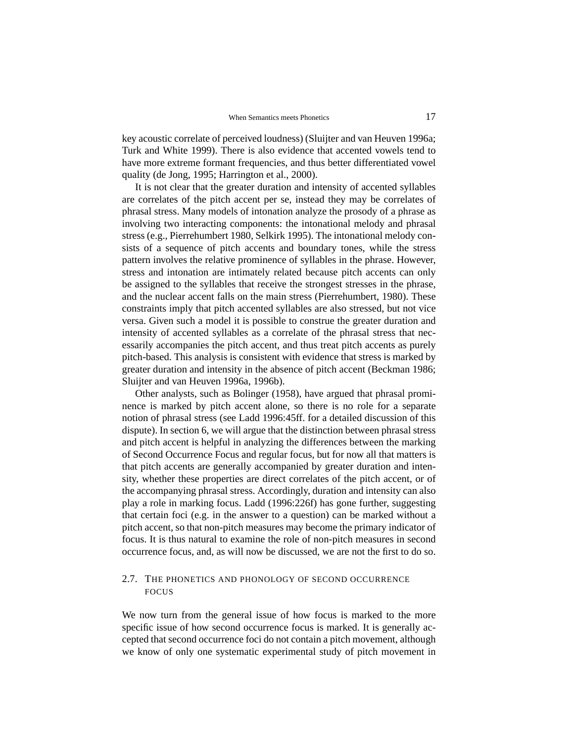key acoustic correlate of perceived loudness) (Sluijter and van Heuven 1996a; Turk and White 1999). There is also evidence that accented vowels tend to have more extreme formant frequencies, and thus better differentiated vowel quality (de Jong, 1995; Harrington et al., 2000).

It is not clear that the greater duration and intensity of accented syllables are correlates of the pitch accent per se, instead they may be correlates of phrasal stress. Many models of intonation analyze the prosody of a phrase as involving two interacting components: the intonational melody and phrasal stress (e.g., Pierrehumbert 1980, Selkirk 1995). The intonational melody consists of a sequence of pitch accents and boundary tones, while the stress pattern involves the relative prominence of syllables in the phrase. However, stress and intonation are intimately related because pitch accents can only be assigned to the syllables that receive the strongest stresses in the phrase, and the nuclear accent falls on the main stress (Pierrehumbert, 1980). These constraints imply that pitch accented syllables are also stressed, but not vice versa. Given such a model it is possible to construe the greater duration and intensity of accented syllables as a correlate of the phrasal stress that necessarily accompanies the pitch accent, and thus treat pitch accents as purely pitch-based. This analysis is consistent with evidence that stress is marked by greater duration and intensity in the absence of pitch accent (Beckman 1986; Sluijter and van Heuven 1996a, 1996b).

Other analysts, such as Bolinger (1958), have argued that phrasal prominence is marked by pitch accent alone, so there is no role for a separate notion of phrasal stress (see Ladd 1996:45ff. for a detailed discussion of this dispute). In section 6, we will argue that the distinction between phrasal stress and pitch accent is helpful in analyzing the differences between the marking of Second Occurrence Focus and regular focus, but for now all that matters is that pitch accents are generally accompanied by greater duration and intensity, whether these properties are direct correlates of the pitch accent, or of the accompanying phrasal stress. Accordingly, duration and intensity can also play a role in marking focus. Ladd (1996:226f) has gone further, suggesting that certain foci (e.g. in the answer to a question) can be marked without a pitch accent, so that non-pitch measures may become the primary indicator of focus. It is thus natural to examine the role of non-pitch measures in second occurrence focus, and, as will now be discussed, we are not the first to do so.

## 2.7. THE PHONETICS AND PHONOLOGY OF SECOND OCCURRENCE FOCUS

We now turn from the general issue of how focus is marked to the more specific issue of how second occurrence focus is marked. It is generally accepted that second occurrence foci do not contain a pitch movement, although we know of only one systematic experimental study of pitch movement in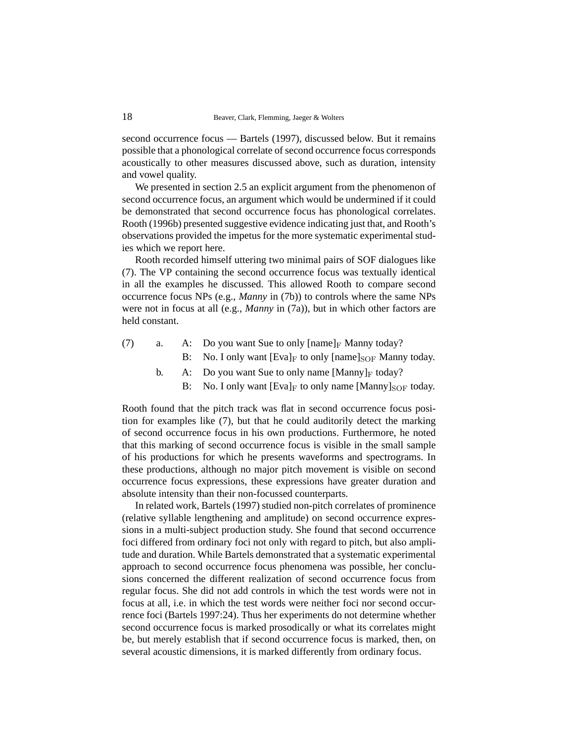second occurrence focus — Bartels (1997), discussed below. But it remains possible that a phonological correlate of second occurrence focus corresponds acoustically to other measures discussed above, such as duration, intensity and vowel quality.

We presented in section 2.5 an explicit argument from the phenomenon of second occurrence focus, an argument which would be undermined if it could be demonstrated that second occurrence focus has phonological correlates. Rooth (1996b) presented suggestive evidence indicating just that, and Rooth's observations provided the impetus for the more systematic experimental studies which we report here.

Rooth recorded himself uttering two minimal pairs of SOF dialogues like (7). The VP containing the second occurrence focus was textually identical in all the examples he discussed. This allowed Rooth to compare second occurrence focus NPs (e.g., *Manny* in (7b)) to controls where the same NPs were not in focus at all (e.g., *Manny* in (7a)), but in which other factors are held constant.

- (7) a. A: Do you want Sue to only  $\lceil \text{name} \rceil_F$  Manny today?
	- B: No. I only want  $[Eval]_F$  to only  $[name]_{SOF}$  Manny today.
	- b. A: Do you want Sue to only name  $[Manny]_F$  today?
		- B: No. I only want  $[Eval]_F$  to only name  $[Manny]_{SOF}$  today.

Rooth found that the pitch track was flat in second occurrence focus position for examples like (7), but that he could auditorily detect the marking of second occurrence focus in his own productions. Furthermore, he noted that this marking of second occurrence focus is visible in the small sample of his productions for which he presents waveforms and spectrograms. In these productions, although no major pitch movement is visible on second occurrence focus expressions, these expressions have greater duration and absolute intensity than their non-focussed counterparts.

In related work, Bartels (1997) studied non-pitch correlates of prominence (relative syllable lengthening and amplitude) on second occurrence expressions in a multi-subject production study. She found that second occurrence foci differed from ordinary foci not only with regard to pitch, but also amplitude and duration. While Bartels demonstrated that a systematic experimental approach to second occurrence focus phenomena was possible, her conclusions concerned the different realization of second occurrence focus from regular focus. She did not add controls in which the test words were not in focus at all, i.e. in which the test words were neither foci nor second occurrence foci (Bartels 1997:24). Thus her experiments do not determine whether second occurrence focus is marked prosodically or what its correlates might be, but merely establish that if second occurrence focus is marked, then, on several acoustic dimensions, it is marked differently from ordinary focus.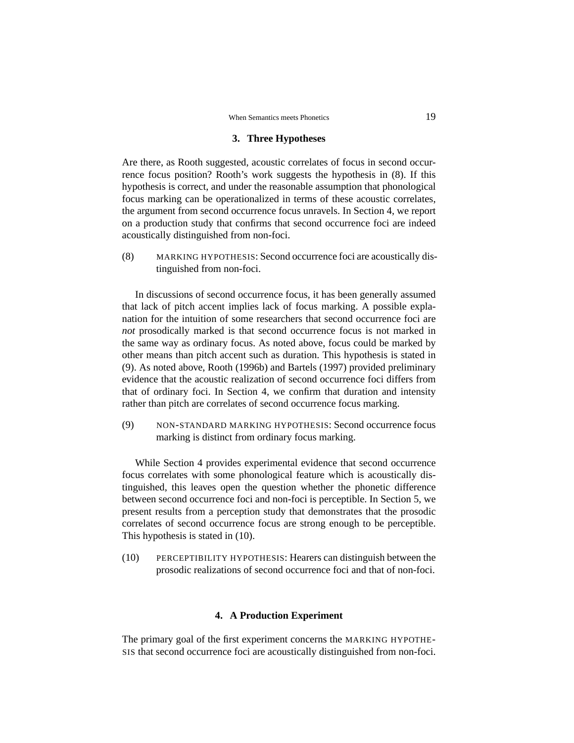### **3. Three Hypotheses**

Are there, as Rooth suggested, acoustic correlates of focus in second occurrence focus position? Rooth's work suggests the hypothesis in (8). If this hypothesis is correct, and under the reasonable assumption that phonological focus marking can be operationalized in terms of these acoustic correlates, the argument from second occurrence focus unravels. In Section 4, we report on a production study that confirms that second occurrence foci are indeed acoustically distinguished from non-foci.

(8) MARKING HYPOTHESIS: Second occurrence foci are acoustically distinguished from non-foci.

In discussions of second occurrence focus, it has been generally assumed that lack of pitch accent implies lack of focus marking. A possible explanation for the intuition of some researchers that second occurrence foci are *not* prosodically marked is that second occurrence focus is not marked in the same way as ordinary focus. As noted above, focus could be marked by other means than pitch accent such as duration. This hypothesis is stated in (9). As noted above, Rooth (1996b) and Bartels (1997) provided preliminary evidence that the acoustic realization of second occurrence foci differs from that of ordinary foci. In Section 4, we confirm that duration and intensity rather than pitch are correlates of second occurrence focus marking.

(9) NON-STANDARD MARKING HYPOTHESIS: Second occurrence focus marking is distinct from ordinary focus marking.

While Section 4 provides experimental evidence that second occurrence focus correlates with some phonological feature which is acoustically distinguished, this leaves open the question whether the phonetic difference between second occurrence foci and non-foci is perceptible. In Section 5, we present results from a perception study that demonstrates that the prosodic correlates of second occurrence focus are strong enough to be perceptible. This hypothesis is stated in (10).

(10) PERCEPTIBILITY HYPOTHESIS: Hearers can distinguish between the prosodic realizations of second occurrence foci and that of non-foci.

### **4. A Production Experiment**

The primary goal of the first experiment concerns the MARKING HYPOTHE-SIS that second occurrence foci are acoustically distinguished from non-foci.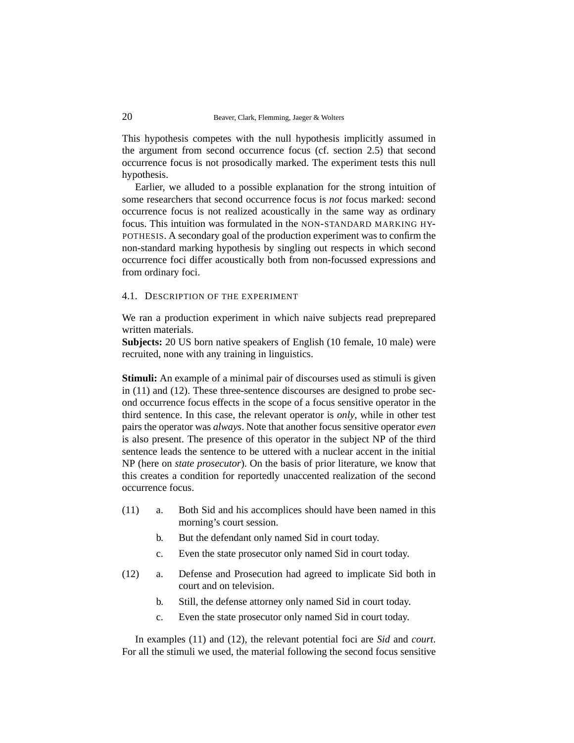This hypothesis competes with the null hypothesis implicitly assumed in the argument from second occurrence focus (cf. section 2.5) that second occurrence focus is not prosodically marked. The experiment tests this null hypothesis.

Earlier, we alluded to a possible explanation for the strong intuition of some researchers that second occurrence focus is *not* focus marked: second occurrence focus is not realized acoustically in the same way as ordinary focus. This intuition was formulated in the NON-STANDARD MARKING HY-POTHESIS. A secondary goal of the production experiment was to confirm the non-standard marking hypothesis by singling out respects in which second occurrence foci differ acoustically both from non-focussed expressions and from ordinary foci.

### 4.1. DESCRIPTION OF THE EXPERIMENT

We ran a production experiment in which naive subjects read preprepared written materials.

**Subjects:** 20 US born native speakers of English (10 female, 10 male) were recruited, none with any training in linguistics.

**Stimuli:** An example of a minimal pair of discourses used as stimuli is given in (11) and (12). These three-sentence discourses are designed to probe second occurrence focus effects in the scope of a focus sensitive operator in the third sentence. In this case, the relevant operator is *only*, while in other test pairs the operator was *always*. Note that another focus sensitive operator *even* is also present. The presence of this operator in the subject NP of the third sentence leads the sentence to be uttered with a nuclear accent in the initial NP (here on *state prosecutor*). On the basis of prior literature, we know that this creates a condition for reportedly unaccented realization of the second occurrence focus.

- (11) a. Both Sid and his accomplices should have been named in this morning's court session.
	- b. But the defendant only named Sid in court today.
	- c. Even the state prosecutor only named Sid in court today.
- (12) a. Defense and Prosecution had agreed to implicate Sid both in court and on television.
	- b. Still, the defense attorney only named Sid in court today.
	- c. Even the state prosecutor only named Sid in court today.

In examples (11) and (12), the relevant potential foci are *Sid* and *court*. For all the stimuli we used, the material following the second focus sensitive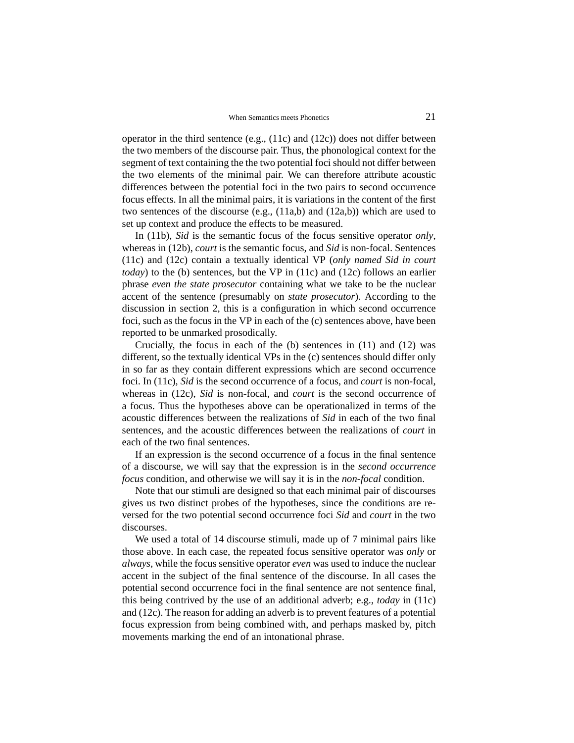operator in the third sentence (e.g., (11c) and (12c)) does not differ between the two members of the discourse pair. Thus, the phonological context for the segment of text containing the the two potential foci should not differ between the two elements of the minimal pair. We can therefore attribute acoustic differences between the potential foci in the two pairs to second occurrence focus effects. In all the minimal pairs, it is variations in the content of the first two sentences of the discourse (e.g., (11a,b) and (12a,b)) which are used to set up context and produce the effects to be measured.

In (11b), *Sid* is the semantic focus of the focus sensitive operator *only*, whereas in (12b), *court* is the semantic focus, and *Sid* is non-focal. Sentences (11c) and (12c) contain a textually identical VP (*only named Sid in court today*) to the (b) sentences, but the VP in (11c) and (12c) follows an earlier phrase *even the state prosecutor* containing what we take to be the nuclear accent of the sentence (presumably on *state prosecutor*). According to the discussion in section 2, this is a configuration in which second occurrence foci, such as the focus in the VP in each of the (c) sentences above, have been reported to be unmarked prosodically.

Crucially, the focus in each of the (b) sentences in (11) and (12) was different, so the textually identical VPs in the (c) sentences should differ only in so far as they contain different expressions which are second occurrence foci. In (11c), *Sid* is the second occurrence of a focus, and *court* is non-focal, whereas in (12c), *Sid* is non-focal, and *court* is the second occurrence of a focus. Thus the hypotheses above can be operationalized in terms of the acoustic differences between the realizations of *Sid* in each of the two final sentences, and the acoustic differences between the realizations of *court* in each of the two final sentences.

If an expression is the second occurrence of a focus in the final sentence of a discourse, we will say that the expression is in the *second occurrence focus* condition, and otherwise we will say it is in the *non-focal* condition.

Note that our stimuli are designed so that each minimal pair of discourses gives us two distinct probes of the hypotheses, since the conditions are reversed for the two potential second occurrence foci *Sid* and *court* in the two discourses.

We used a total of 14 discourse stimuli, made up of 7 minimal pairs like those above. In each case, the repeated focus sensitive operator was *only* or *always*, while the focus sensitive operator *even* was used to induce the nuclear accent in the subject of the final sentence of the discourse. In all cases the potential second occurrence foci in the final sentence are not sentence final, this being contrived by the use of an additional adverb; e.g., *today* in (11c) and (12c). The reason for adding an adverb is to prevent features of a potential focus expression from being combined with, and perhaps masked by, pitch movements marking the end of an intonational phrase.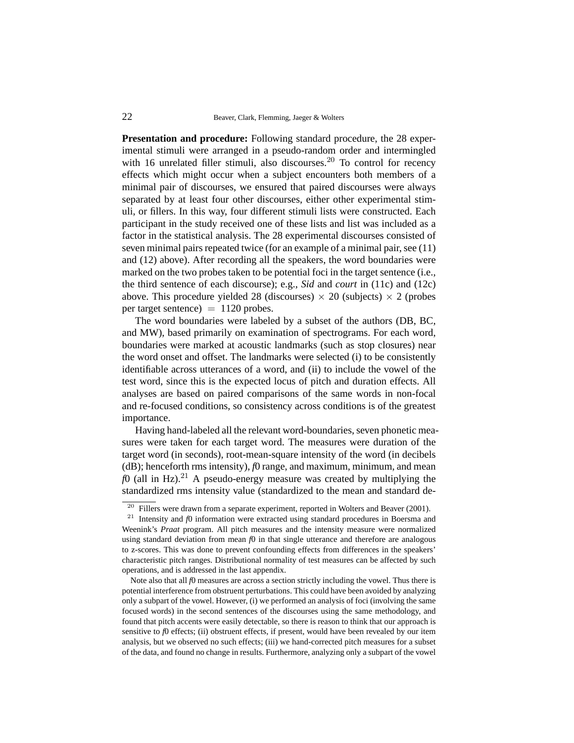**Presentation and procedure:** Following standard procedure, the 28 experimental stimuli were arranged in a pseudo-random order and intermingled with 16 unrelated filler stimuli, also discourses.<sup>20</sup> To control for recency effects which might occur when a subject encounters both members of a minimal pair of discourses, we ensured that paired discourses were always separated by at least four other discourses, either other experimental stimuli, or fillers. In this way, four different stimuli lists were constructed. Each participant in the study received one of these lists and list was included as a factor in the statistical analysis. The 28 experimental discourses consisted of seven minimal pairs repeated twice (for an example of a minimal pair, see (11) and (12) above). After recording all the speakers, the word boundaries were marked on the two probes taken to be potential foci in the target sentence (i.e., the third sentence of each discourse); e.g., *Sid* and *court* in (11c) and (12c) above. This procedure yielded 28 (discourses)  $\times$  20 (subjects)  $\times$  2 (probes per target sentence $) = 1120$  probes.

The word boundaries were labeled by a subset of the authors (DB, BC, and MW), based primarily on examination of spectrograms. For each word, boundaries were marked at acoustic landmarks (such as stop closures) near the word onset and offset. The landmarks were selected (i) to be consistently identifiable across utterances of a word, and (ii) to include the vowel of the test word, since this is the expected locus of pitch and duration effects. All analyses are based on paired comparisons of the same words in non-focal and re-focused conditions, so consistency across conditions is of the greatest importance.

Having hand-labeled all the relevant word-boundaries, seven phonetic measures were taken for each target word. The measures were duration of the target word (in seconds), root-mean-square intensity of the word (in decibels (dB); henceforth rms intensity), *f*0 range, and maximum, minimum, and mean  $f(0)$  (all in Hz).<sup>21</sup> A pseudo-energy measure was created by multiplying the standardized rms intensity value (standardized to the mean and standard de-

Note also that all *f*0 measures are across a section strictly including the vowel. Thus there is potential interference from obstruent perturbations. This could have been avoided by analyzing only a subpart of the vowel. However, (i) we performed an analysis of foci (involving the same focused words) in the second sentences of the discourses using the same methodology, and found that pitch accents were easily detectable, so there is reason to think that our approach is sensitive to  $f_0$  effects; (ii) obstruent effects, if present, would have been revealed by our item analysis, but we observed no such effects; (iii) we hand-corrected pitch measures for a subset of the data, and found no change in results. Furthermore, analyzing only a subpart of the vowel

 $20$  Fillers were drawn from a separate experiment, reported in Wolters and Beaver (2001).

<sup>&</sup>lt;sup>21</sup> Intensity and *f*0 information were extracted using standard procedures in Boersma and Weenink's *Praat* program. All pitch measures and the intensity measure were normalized using standard deviation from mean  $f_0$  in that single utterance and therefore are analogous to z-scores. This was done to prevent confounding effects from differences in the speakers' characteristic pitch ranges. Distributional normality of test measures can be affected by such operations, and is addressed in the last appendix.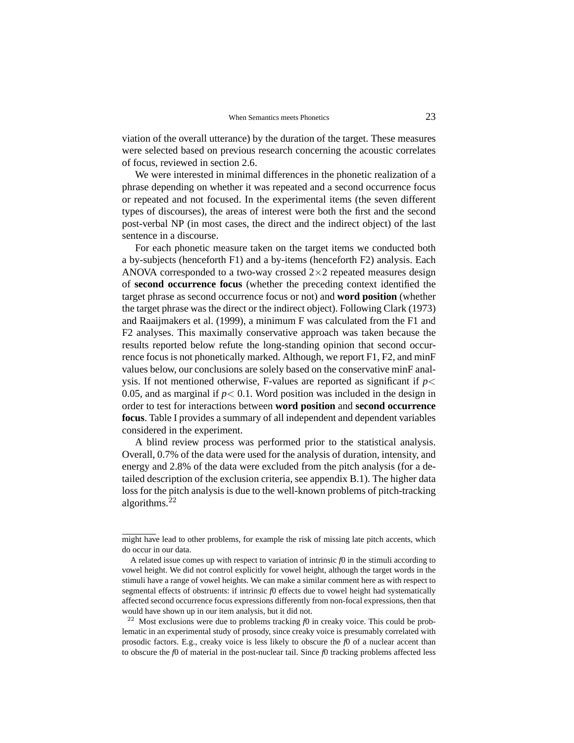viation of the overall utterance) by the duration of the target. These measures were selected based on previous research concerning the acoustic correlates of focus, reviewed in section 2.6.

We were interested in minimal differences in the phonetic realization of a phrase depending on whether it was repeated and a second occurrence focus or repeated and not focused. In the experimental items (the seven different types of discourses), the areas of interest were both the first and the second post-verbal NP (in most cases, the direct and the indirect object) of the last sentence in a discourse.

For each phonetic measure taken on the target items we conducted both a by-subjects (henceforth F1) and a by-items (henceforth F2) analysis. Each ANOVA corresponded to a two-way crossed  $2\times 2$  repeated measures design of **second occurrence focus** (whether the preceding context identified the target phrase as second occurrence focus or not) and **word position** (whether the target phrase was the direct or the indirect object). Following Clark (1973) and Raaijmakers et al. (1999), a minimum F was calculated from the F1 and F2 analyses. This maximally conservative approach was taken because the results reported below refute the long-standing opinion that second occurrence focus is not phonetically marked. Although, we report F1, F2, and minF values below, our conclusions are solely based on the conservative minF analysis. If not mentioned otherwise, F-values are reported as significant if  $p$  < 0.05, and as marginal if  $p < 0.1$ . Word position was included in the design in order to test for interactions between **word position** and **second occurrence focus**. Table I provides a summary of all independent and dependent variables considered in the experiment.

A blind review process was performed prior to the statistical analysis. Overall, 0.7% of the data were used for the analysis of duration, intensity, and energy and 2.8% of the data were excluded from the pitch analysis (for a detailed description of the exclusion criteria, see appendix B.1). The higher data loss for the pitch analysis is due to the well-known problems of pitch-tracking algorithms. $^{22}$ 

might have lead to other problems, for example the risk of missing late pitch accents, which do occur in our data.

A related issue comes up with respect to variation of intrinsic *f*0 in the stimuli according to vowel height. We did not control explicitly for vowel height, although the target words in the stimuli have a range of vowel heights. We can make a similar comment here as with respect to segmental effects of obstruents: if intrinsic *f*0 effects due to vowel height had systematically affected second occurrence focus expressions differently from non-focal expressions, then that would have shown up in our item analysis, but it did not.

<sup>&</sup>lt;sup>22</sup> Most exclusions were due to problems tracking  $f_0$  in creaky voice. This could be problematic in an experimental study of prosody, since creaky voice is presumably correlated with prosodic factors. E.g., creaky voice is less likely to obscure the *f*0 of a nuclear accent than to obscure the *f*0 of material in the post-nuclear tail. Since *f*0 tracking problems affected less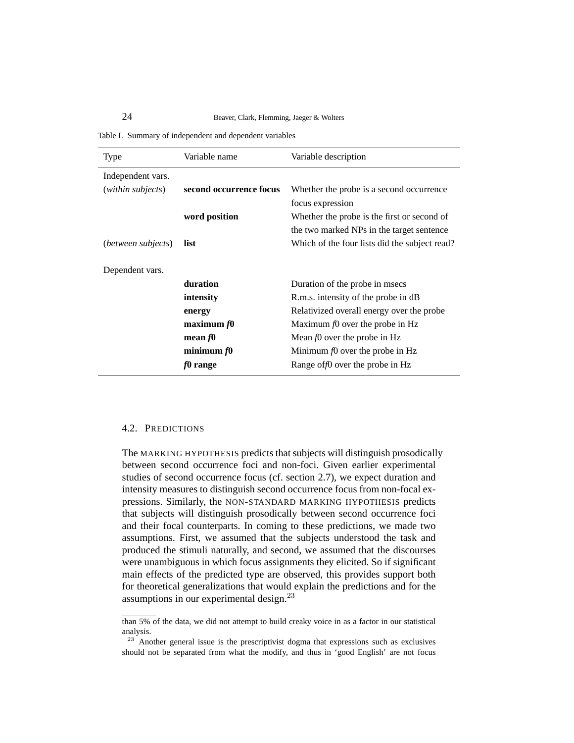Table I. Summary of independent and dependent variables

| Type               | Variable name           | Variable description                          |
|--------------------|-------------------------|-----------------------------------------------|
| Independent vars.  |                         |                                               |
| (within subjects)  | second occurrence focus | Whether the probe is a second occurrence      |
|                    |                         | focus expression                              |
|                    | word position           | Whether the probe is the first or second of   |
|                    |                         | the two marked NPs in the target sentence     |
| (between subjects) | list                    | Which of the four lists did the subject read? |
|                    |                         |                                               |
| Dependent vars.    |                         |                                               |
|                    | duration                | Duration of the probe in msecs                |
|                    | intensity               | R.m.s. intensity of the probe in dB           |
|                    | energy                  | Relativized overall energy over the probe.    |
|                    | maximum $f0$            | Maximum $f0$ over the probe in Hz             |
|                    | mean $f0$               | Mean $f0$ over the probe in Hz                |
|                    | minimum $f0$            | Minimum $f0$ over the probe in Hz             |
|                    | f0 range                | Range of f0 over the probe in Hz              |

#### 4.2. PREDICTIONS

The MARKING HYPOTHESIS predicts that subjects will distinguish prosodically between second occurrence foci and non-foci. Given earlier experimental studies of second occurrence focus (cf. section 2.7), we expect duration and intensity measures to distinguish second occurrence focus from non-focal expressions. Similarly, the NON-STANDARD MARKING HYPOTHESIS predicts that subjects will distinguish prosodically between second occurrence foci and their focal counterparts. In coming to these predictions, we made two assumptions. First, we assumed that the subjects understood the task and produced the stimuli naturally, and second, we assumed that the discourses were unambiguous in which focus assignments they elicited. So if significant main effects of the predicted type are observed, this provides support both for theoretical generalizations that would explain the predictions and for the assumptions in our experimental design.<sup>23</sup>

than 5% of the data, we did not attempt to build creaky voice in as a factor in our statistical analysis.

<sup>&</sup>lt;sup>23</sup> Another general issue is the prescriptivist dogma that expressions such as exclusives should not be separated from what the modify, and thus in 'good English' are not focus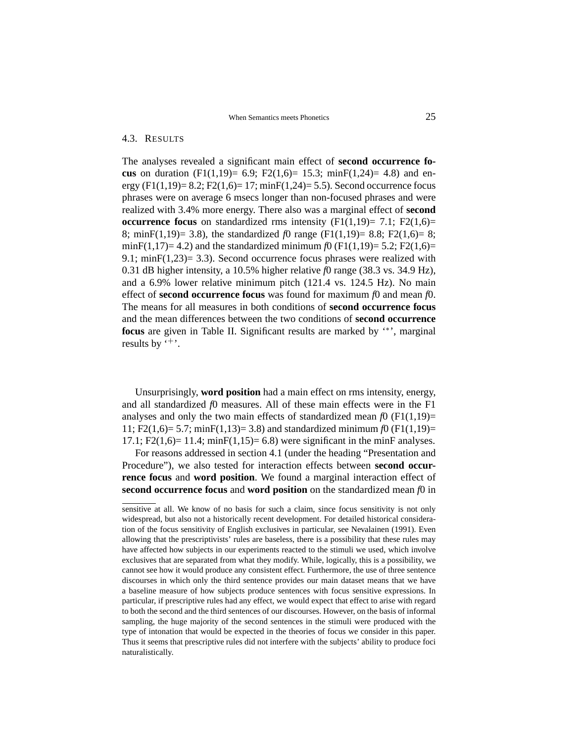### 4.3. RESULTS

The analyses revealed a significant main effect of **second occurrence focus** on duration (F1(1,19)= 6.9; F2(1,6)= 15.3; minF(1,24)= 4.8) and energy (F1(1,19)= 8.2; F2(1,6)= 17; minF(1,24)= 5.5). Second occurrence focus phrases were on average 6 msecs longer than non-focused phrases and were realized with 3.4% more energy. There also was a marginal effect of **second occurrence focus** on standardized rms intensity  $(F1(1,19)= 7.1; F2(1,6)=$ 8; minF(1,19)= 3.8), the standardized *f*0 range (F1(1,19)= 8.8; F2(1,6)= 8; minF(1,17)= 4.2) and the standardized minimum  $f0$  (F1(1,19)= 5.2; F2(1,6)= 9.1; min $F(1,23)=$  3.3). Second occurrence focus phrases were realized with 0.31 dB higher intensity, a 10.5% higher relative *f*0 range (38.3 vs. 34.9 Hz), and a 6.9% lower relative minimum pitch (121.4 vs. 124.5 Hz). No main effect of **second occurrence focus** was found for maximum *f*0 and mean *f*0. The means for all measures in both conditions of **second occurrence focus** and the mean differences between the two conditions of **second occurrence** focus are given in Table II. Significant results are marked by '<sup>\*</sup>', marginal results by  $\cdot$ + $\cdot$ .

Unsurprisingly, **word position** had a main effect on rms intensity, energy, and all standardized *f*0 measures. All of these main effects were in the F1 analyses and only the two main effects of standardized mean  $f(0)$  (F1(1,19)= 11; F2(1,6)= 5.7; minF(1,13)= 3.8) and standardized minimum *f*0 (F1(1,19)= 17.1;  $F2(1,6) = 11.4$ ;  $minF(1,15) = 6.8$ ) were significant in the minF analyses.

For reasons addressed in section 4.1 (under the heading "Presentation and Procedure"), we also tested for interaction effects between **second occurrence focus** and **word position**. We found a marginal interaction effect of **second occurrence focus** and **word position** on the standardized mean *f*0 in

sensitive at all. We know of no basis for such a claim, since focus sensitivity is not only widespread, but also not a historically recent development. For detailed historical consideration of the focus sensitivity of English exclusives in particular, see Nevalainen (1991). Even allowing that the prescriptivists' rules are baseless, there is a possibility that these rules may have affected how subjects in our experiments reacted to the stimuli we used, which involve exclusives that are separated from what they modify. While, logically, this is a possibility, we cannot see how it would produce any consistent effect. Furthermore, the use of three sentence discourses in which only the third sentence provides our main dataset means that we have a baseline measure of how subjects produce sentences with focus sensitive expressions. In particular, if prescriptive rules had any effect, we would expect that effect to arise with regard to both the second and the third sentences of our discourses. However, on the basis of informal sampling, the huge majority of the second sentences in the stimuli were produced with the type of intonation that would be expected in the theories of focus we consider in this paper. Thus it seems that prescriptive rules did not interfere with the subjects' ability to produce foci naturalistically.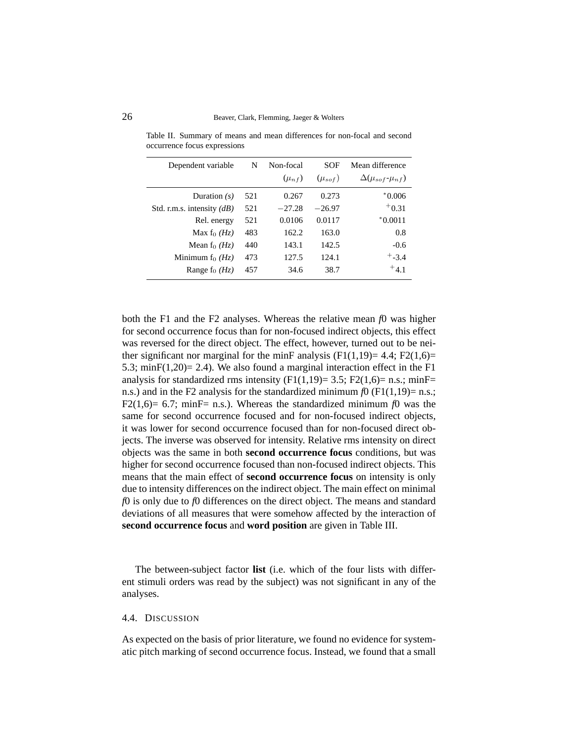| Dependent variable          | N   | Non-focal    | SOF            | Mean difference                 |
|-----------------------------|-----|--------------|----------------|---------------------------------|
|                             |     | $(\mu_{n}f)$ | $(\mu_{soft})$ | $\Delta(\mu_{soft} - \mu_{nf})$ |
| Duration $(s)$              | 521 | 0.267        | 0.273          | $*0.006$                        |
| Std. r.m.s. intensity $(d)$ | 521 | $-27.28$     | $-26.97$       | $+0.31$                         |
| Rel. energy                 | 521 | 0.0106       | 0.0117         | $*0.0011$                       |
| Max f <sub>0</sub> $(Hz)$   | 483 | 162.2        | 163.0          | 0.8                             |
| Mean f <sub>0</sub> $(HZ)$  | 440 | 143.1        | 142.5          | $-0.6$                          |
| Minimum $f_0(H_z)$          | 473 | 127.5        | 124.1          | $+$ -3.4                        |
| Range $f_0$ ( <i>Hz</i> )   | 457 | 34.6         | 38.7           | $+4.1$                          |

Table II. Summary of means and mean differences for non-focal and second occurrence focus expressions

both the F1 and the F2 analyses. Whereas the relative mean *f*0 was higher for second occurrence focus than for non-focused indirect objects, this effect was reversed for the direct object. The effect, however, turned out to be neither significant nor marginal for the minF analysis  $(F1(1,19)= 4.4; F2(1,6)=$ 5.3; minF $(1,20)$ = 2.4). We also found a marginal interaction effect in the F1 analysis for standardized rms intensity  $(F1(1,19)= 3.5; F2(1,6)= n.s.; minF=$ n.s.) and in the F2 analysis for the standardized minimum  $f(x)$  (F1(1,19)= n.s.; F2(1,6)= 6.7; minF= n.s.). Whereas the standardized minimum  $f0$  was the same for second occurrence focused and for non-focused indirect objects, it was lower for second occurrence focused than for non-focused direct objects. The inverse was observed for intensity. Relative rms intensity on direct objects was the same in both **second occurrence focus** conditions, but was higher for second occurrence focused than non-focused indirect objects. This means that the main effect of **second occurrence focus** on intensity is only due to intensity differences on the indirect object. The main effect on minimal *f*0 is only due to *f*0 differences on the direct object. The means and standard deviations of all measures that were somehow affected by the interaction of **second occurrence focus** and **word position** are given in Table III.

The between-subject factor **list** (i.e. which of the four lists with different stimuli orders was read by the subject) was not significant in any of the analyses.

### 4.4. DISCUSSION

As expected on the basis of prior literature, we found no evidence for systematic pitch marking of second occurrence focus. Instead, we found that a small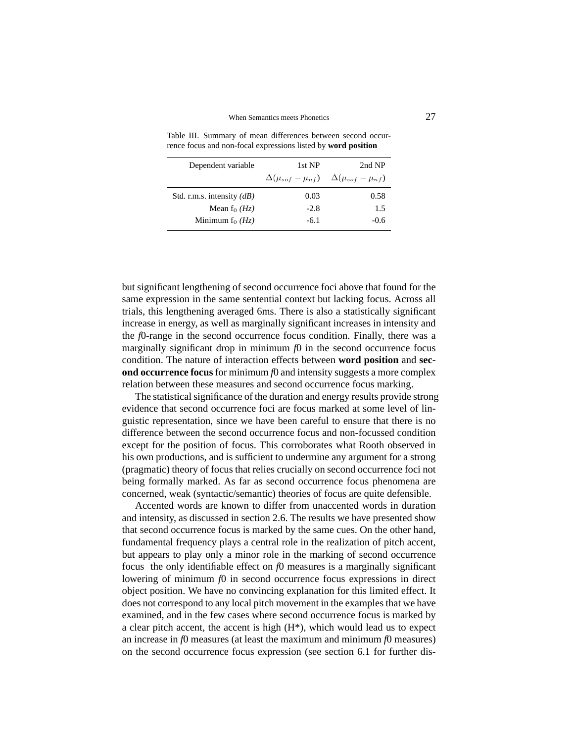#### When Semantics meets Phonetics 27

| Dependent variable           | 1st NP | 2nd NP                                                              |
|------------------------------|--------|---------------------------------------------------------------------|
|                              |        | $\Delta(\mu_{soft} - \mu_{nf}) \quad \Delta(\mu_{soft} - \mu_{nf})$ |
| Std. r.m.s. intensity $(dB)$ | 0.03   | 0.58                                                                |
| Mean $f_0$ ( <i>Hz</i> )     | $-2.8$ | 1.5                                                                 |
| Minimum $f_0(Hz)$            | $-6.1$ | $-0.6$                                                              |

Table III. Summary of mean differences between second occurrence focus and non-focal expressions listed by **word position**

but significant lengthening of second occurrence foci above that found for the same expression in the same sentential context but lacking focus. Across all trials, this lengthening averaged 6ms. There is also a statistically significant increase in energy, as well as marginally significant increases in intensity and the *f*0-range in the second occurrence focus condition. Finally, there was a marginally significant drop in minimum  $f(x)$  in the second occurrence focus condition. The nature of interaction effects between **word position** and **second occurrence focus** for minimum  $f0$  and intensity suggests a more complex relation between these measures and second occurrence focus marking.

The statistical significance of the duration and energy results provide strong evidence that second occurrence foci are focus marked at some level of linguistic representation, since we have been careful to ensure that there is no difference between the second occurrence focus and non-focussed condition except for the position of focus. This corroborates what Rooth observed in his own productions, and is sufficient to undermine any argument for a strong (pragmatic) theory of focus that relies crucially on second occurrence foci not being formally marked. As far as second occurrence focus phenomena are concerned, weak (syntactic/semantic) theories of focus are quite defensible.

Accented words are known to differ from unaccented words in duration and intensity, as discussed in section 2.6. The results we have presented show that second occurrence focus is marked by the same cues. On the other hand, fundamental frequency plays a central role in the realization of pitch accent, but appears to play only a minor role in the marking of second occurrence focus the only identifiable effect on *f*0 measures is a marginally significant lowering of minimum *f*0 in second occurrence focus expressions in direct object position. We have no convincing explanation for this limited effect. It does not correspond to any local pitch movement in the examples that we have examined, and in the few cases where second occurrence focus is marked by a clear pitch accent, the accent is high  $(H^*)$ , which would lead us to expect an increase in *f*0 measures (at least the maximum and minimum *f*0 measures) on the second occurrence focus expression (see section 6.1 for further dis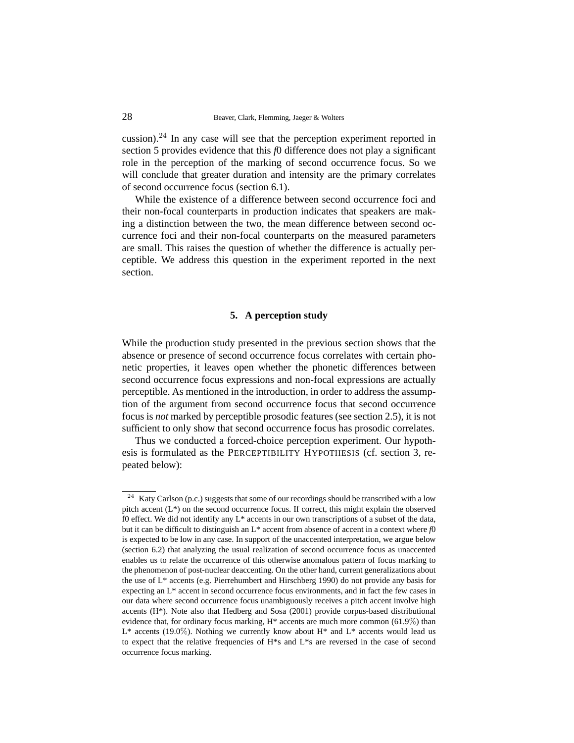cussion).<sup>24</sup> In any case will see that the perception experiment reported in section 5 provides evidence that this *f*0 difference does not play a significant role in the perception of the marking of second occurrence focus. So we will conclude that greater duration and intensity are the primary correlates of second occurrence focus (section 6.1).

While the existence of a difference between second occurrence foci and their non-focal counterparts in production indicates that speakers are making a distinction between the two, the mean difference between second occurrence foci and their non-focal counterparts on the measured parameters are small. This raises the question of whether the difference is actually perceptible. We address this question in the experiment reported in the next section.

## **5. A perception study**

While the production study presented in the previous section shows that the absence or presence of second occurrence focus correlates with certain phonetic properties, it leaves open whether the phonetic differences between second occurrence focus expressions and non-focal expressions are actually perceptible. As mentioned in the introduction, in order to address the assumption of the argument from second occurrence focus that second occurrence focus is *not* marked by perceptible prosodic features (see section 2.5), it is not sufficient to only show that second occurrence focus has prosodic correlates.

Thus we conducted a forced-choice perception experiment. Our hypothesis is formulated as the PERCEPTIBILITY HYPOTHESIS (cf. section 3, repeated below):

 $24$  Katy Carlson (p.c.) suggests that some of our recordings should be transcribed with a low pitch accent (L\*) on the second occurrence focus. If correct, this might explain the observed f0 effect. We did not identify any  $L^*$  accents in our own transcriptions of a subset of the data, but it can be difficult to distinguish an L\* accent from absence of accent in a context where *f*0 is expected to be low in any case. In support of the unaccented interpretation, we argue below (section 6.2) that analyzing the usual realization of second occurrence focus as unaccented enables us to relate the occurrence of this otherwise anomalous pattern of focus marking to the phenomenon of post-nuclear deaccenting. On the other hand, current generalizations about the use of L\* accents (e.g. Pierrehumbert and Hirschberg 1990) do not provide any basis for expecting an L\* accent in second occurrence focus environments, and in fact the few cases in our data where second occurrence focus unambiguously receives a pitch accent involve high accents  $(H^*)$ . Note also that Hedberg and Sosa (2001) provide corpus-based distributional evidence that, for ordinary focus marking,  $H^*$  accents are much more common (61.9%) than  $L^*$  accents (19.0%). Nothing we currently know about H<sup>\*</sup> and  $L^*$  accents would lead us to expect that the relative frequencies of  $H^*s$  and  $L^*s$  are reversed in the case of second occurrence focus marking.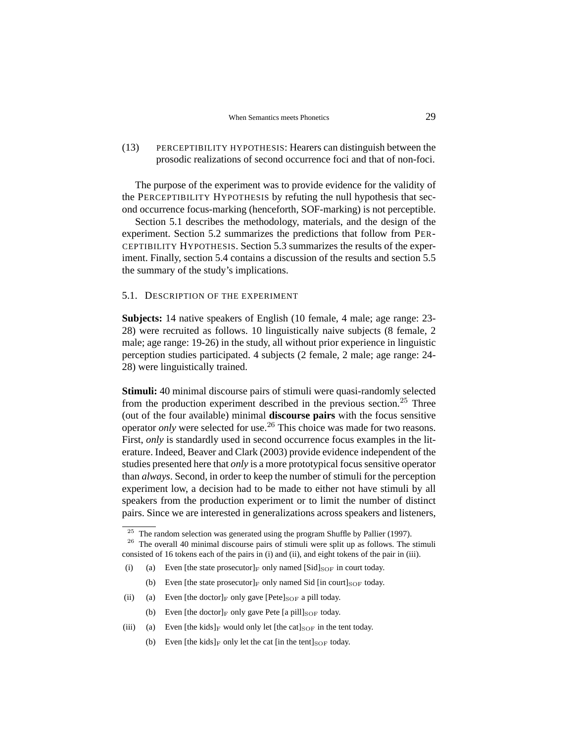# (13) PERCEPTIBILITY HYPOTHESIS: Hearers can distinguish between the prosodic realizations of second occurrence foci and that of non-foci.

The purpose of the experiment was to provide evidence for the validity of the PERCEPTIBILITY HYPOTHESIS by refuting the null hypothesis that second occurrence focus-marking (henceforth, SOF-marking) is not perceptible.

Section 5.1 describes the methodology, materials, and the design of the experiment. Section 5.2 summarizes the predictions that follow from PER-CEPTIBILITY HYPOTHESIS. Section 5.3 summarizes the results of the experiment. Finally, section 5.4 contains a discussion of the results and section 5.5 the summary of the study's implications.

#### 5.1. DESCRIPTION OF THE EXPERIMENT

**Subjects:** 14 native speakers of English (10 female, 4 male; age range: 23- 28) were recruited as follows. 10 linguistically naive subjects (8 female, 2 male; age range: 19-26) in the study, all without prior experience in linguistic perception studies participated. 4 subjects (2 female, 2 male; age range: 24- 28) were linguistically trained.

**Stimuli:** 40 minimal discourse pairs of stimuli were quasi-randomly selected from the production experiment described in the previous section.<sup>25</sup> Three (out of the four available) minimal **discourse pairs** with the focus sensitive operator *only* were selected for use.<sup>26</sup> This choice was made for two reasons. First, *only* is standardly used in second occurrence focus examples in the literature. Indeed, Beaver and Clark (2003) provide evidence independent of the studies presented here that *only* is a more prototypical focus sensitive operator than *always*. Second, in order to keep the number of stimuli for the perception experiment low, a decision had to be made to either not have stimuli by all speakers from the production experiment or to limit the number of distinct pairs. Since we are interested in generalizations across speakers and listeners,

- (b) Even [the state prosecutor] $_F$  only named Sid [in court] $_{SOF}$  today.
- (ii) (a) Even [the doctor]<sub>F</sub> only gave [Pete]<sub>SOF</sub> a pill today.
	- (b) Even [the doctor] $_F$  only gave Pete [a pill] $_{SOF}$  today.
- (iii) (a) Even [the kids] F would only let [the cat]  $_{SOF}$  in the tent today.
	- (b) Even [the kids]<sub>F</sub> only let the cat [in the tent] $_{SOF}$  today.

The random selection was generated using the program Shuffle by Pallier (1997).

<sup>&</sup>lt;sup>26</sup> The overall 40 minimal discourse pairs of stimuli were split up as follows. The stimuli consisted of 16 tokens each of the pairs in (i) and (ii), and eight tokens of the pair in (iii).

<sup>(</sup>i) (a) Even [the state prosecutor]<sub>F</sub> only named [Sid]<sub>SOF</sub> in court today.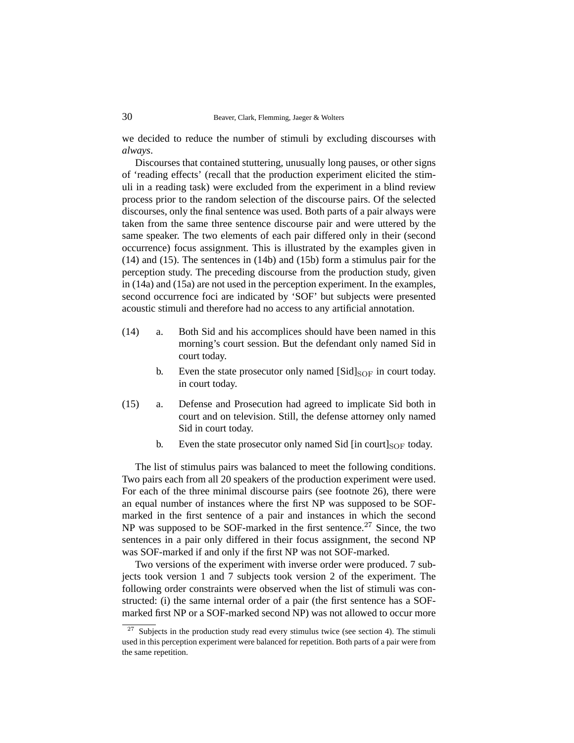we decided to reduce the number of stimuli by excluding discourses with *always*.

Discourses that contained stuttering, unusually long pauses, or other signs of 'reading effects' (recall that the production experiment elicited the stimuli in a reading task) were excluded from the experiment in a blind review process prior to the random selection of the discourse pairs. Of the selected discourses, only the final sentence was used. Both parts of a pair always were taken from the same three sentence discourse pair and were uttered by the same speaker. The two elements of each pair differed only in their (second occurrence) focus assignment. This is illustrated by the examples given in (14) and (15). The sentences in (14b) and (15b) form a stimulus pair for the perception study. The preceding discourse from the production study, given in (14a) and (15a) are not used in the perception experiment. In the examples, second occurrence foci are indicated by 'SOF' but subjects were presented acoustic stimuli and therefore had no access to any artificial annotation.

- (14) a. Both Sid and his accomplices should have been named in this morning's court session. But the defendant only named Sid in court today.
	- b. Even the state prosecutor only named  $[Sid]_{\text{SOF}}$  in court today. in court today.
- (15) a. Defense and Prosecution had agreed to implicate Sid both in court and on television. Still, the defense attorney only named Sid in court today.
	- b. Even the state prosecutor only named Sid  $\left[$ in court $\right]_{SOF}$  today.

The list of stimulus pairs was balanced to meet the following conditions. Two pairs each from all 20 speakers of the production experiment were used. For each of the three minimal discourse pairs (see footnote 26), there were an equal number of instances where the first NP was supposed to be SOFmarked in the first sentence of a pair and instances in which the second NP was supposed to be SOF-marked in the first sentence.<sup>27</sup> Since, the two sentences in a pair only differed in their focus assignment, the second NP was SOF-marked if and only if the first NP was not SOF-marked.

Two versions of the experiment with inverse order were produced. 7 subjects took version 1 and 7 subjects took version 2 of the experiment. The following order constraints were observed when the list of stimuli was constructed: (i) the same internal order of a pair (the first sentence has a SOFmarked first NP or a SOF-marked second NP) was not allowed to occur more

<sup>27</sup> Subjects in the production study read every stimulus twice (see section 4). The stimuli used in this perception experiment were balanced for repetition. Both parts of a pair were from the same repetition.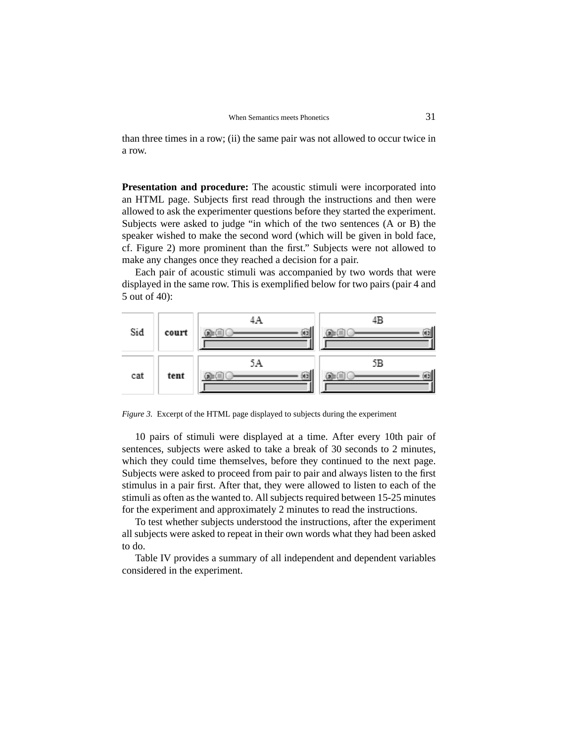than three times in a row; (ii) the same pair was not allowed to occur twice in a row.

**Presentation and procedure:** The acoustic stimuli were incorporated into an HTML page. Subjects first read through the instructions and then were allowed to ask the experimenter questions before they started the experiment. Subjects were asked to judge "in which of the two sentences (A or B) the speaker wished to make the second word (which will be given in bold face, cf. Figure 2) more prominent than the first." Subjects were not allowed to make any changes once they reached a decision for a pair.

Each pair of acoustic stimuli was accompanied by two words that were displayed in the same row. This is exemplified below for two pairs (pair 4 and 5 out of 40):



*Figure 3.* Excerpt of the HTML page displayed to subjects during the experiment

10 pairs of stimuli were displayed at a time. After every 10th pair of sentences, subjects were asked to take a break of 30 seconds to 2 minutes, which they could time themselves, before they continued to the next page. Subjects were asked to proceed from pair to pair and always listen to the first stimulus in a pair first. After that, they were allowed to listen to each of the stimuli as often as the wanted to. All subjects required between 15-25 minutes for the experiment and approximately 2 minutes to read the instructions.

To test whether subjects understood the instructions, after the experiment all subjects were asked to repeat in their own words what they had been asked to do.

Table IV provides a summary of all independent and dependent variables considered in the experiment.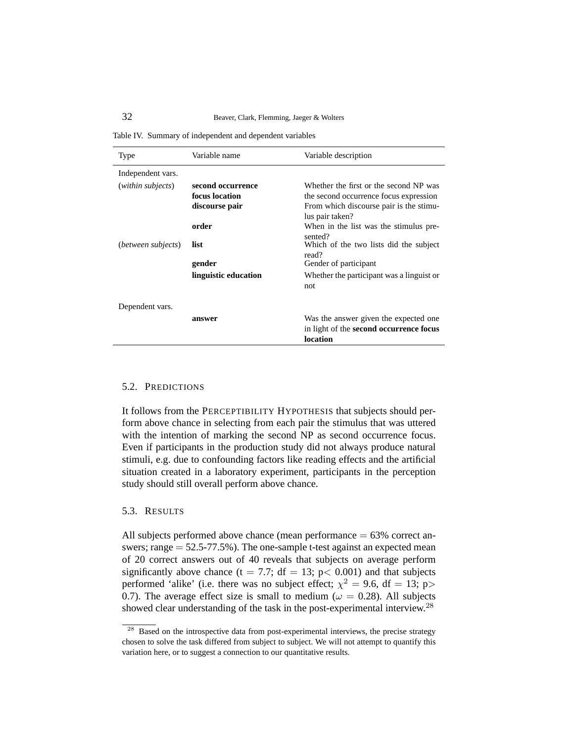Table IV. Summary of independent and dependent variables

| Type               | Variable name        | Variable description                                       |
|--------------------|----------------------|------------------------------------------------------------|
| Independent vars.  |                      |                                                            |
| (within subjects)  | second occurrence    | Whether the first or the second NP was                     |
|                    | focus location       | the second occurrence focus expression                     |
|                    | discourse pair       | From which discourse pair is the stimu-<br>lus pair taken? |
|                    | order                | When in the list was the stimulus pre-<br>sented?          |
| (between subjects) | list                 | Which of the two lists did the subject<br>read?            |
|                    | gender               | Gender of participant                                      |
|                    | linguistic education | Whether the participant was a linguist or<br>not           |
| Dependent vars.    |                      |                                                            |
|                    | answer               | Was the answer given the expected one                      |
|                    |                      | in light of the second occurrence focus                    |
|                    |                      | location                                                   |

### 5.2. PREDICTIONS

It follows from the PERCEPTIBILITY HYPOTHESIS that subjects should perform above chance in selecting from each pair the stimulus that was uttered with the intention of marking the second NP as second occurrence focus. Even if participants in the production study did not always produce natural stimuli, e.g. due to confounding factors like reading effects and the artificial situation created in a laboratory experiment, participants in the perception study should still overall perform above chance.

# 5.3. RESULTS

All subjects performed above chance (mean performance  $= 63\%$  correct answers; range  $= 52.5 - 77.5\%$ ). The one-sample t-test against an expected mean of 20 correct answers out of 40 reveals that subjects on average perform significantly above chance (t = 7.7; df = 13; p < 0.001) and that subjects performed 'alike' (i.e. there was no subject effect;  $\chi^2 = 9.6$ , df = 13; p> 0.7). The average effect size is small to medium ( $\omega = 0.28$ ). All subjects showed clear understanding of the task in the post-experimental interview.<sup>28</sup>

<sup>&</sup>lt;sup>28</sup> Based on the introspective data from post-experimental interviews, the precise strategy chosen to solve the task differed from subject to subject. We will not attempt to quantify this variation here, or to suggest a connection to our quantitative results.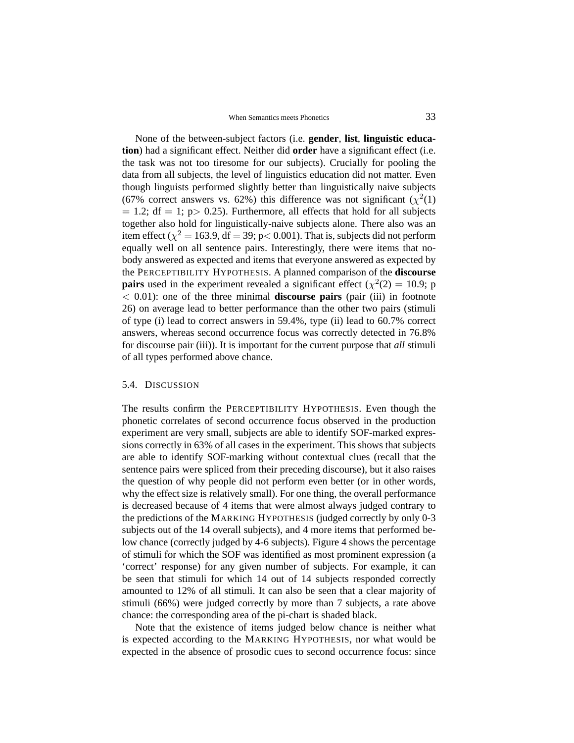None of the between-subject factors (i.e. **gender**, **list**, **linguistic education**) had a significant effect. Neither did **order** have a significant effect (i.e. the task was not too tiresome for our subjects). Crucially for pooling the data from all subjects, the level of linguistics education did not matter. Even though linguists performed slightly better than linguistically naive subjects (67% correct answers vs. 62%) this difference was not significant ( $\chi^2(1)$ )  $= 1.2$ ; df  $= 1$ ; p  $> 0.25$ ). Furthermore, all effects that hold for all subjects together also hold for linguistically-naive subjects alone. There also was an item effect ( $\chi^2$  = 163.9, df = 39; p< 0.001). That is, subjects did not perform equally well on all sentence pairs. Interestingly, there were items that nobody answered as expected and items that everyone answered as expected by the PERCEPTIBILITY HYPOTHESIS. A planned comparison of the **discourse pairs** used in the experiment revealed a significant effect ( $\chi^2(2) = 10.9$ ; p < 0.01): one of the three minimal **discourse pairs** (pair (iii) in footnote 26) on average lead to better performance than the other two pairs (stimuli of type (i) lead to correct answers in 59.4%, type (ii) lead to 60.7% correct answers, whereas second occurrence focus was correctly detected in 76.8% for discourse pair (iii)). It is important for the current purpose that *all* stimuli of all types performed above chance.

### 5.4. DISCUSSION

The results confirm the PERCEPTIBILITY HYPOTHESIS. Even though the phonetic correlates of second occurrence focus observed in the production experiment are very small, subjects are able to identify SOF-marked expressions correctly in 63% of all cases in the experiment. This shows that subjects are able to identify SOF-marking without contextual clues (recall that the sentence pairs were spliced from their preceding discourse), but it also raises the question of why people did not perform even better (or in other words, why the effect size is relatively small). For one thing, the overall performance is decreased because of 4 items that were almost always judged contrary to the predictions of the MARKING HYPOTHESIS (judged correctly by only 0-3 subjects out of the 14 overall subjects), and 4 more items that performed below chance (correctly judged by 4-6 subjects). Figure 4 shows the percentage of stimuli for which the SOF was identified as most prominent expression (a 'correct' response) for any given number of subjects. For example, it can be seen that stimuli for which 14 out of 14 subjects responded correctly amounted to 12% of all stimuli. It can also be seen that a clear majority of stimuli (66%) were judged correctly by more than 7 subjects, a rate above chance: the corresponding area of the pi-chart is shaded black.

Note that the existence of items judged below chance is neither what is expected according to the MARKING HYPOTHESIS, nor what would be expected in the absence of prosodic cues to second occurrence focus: since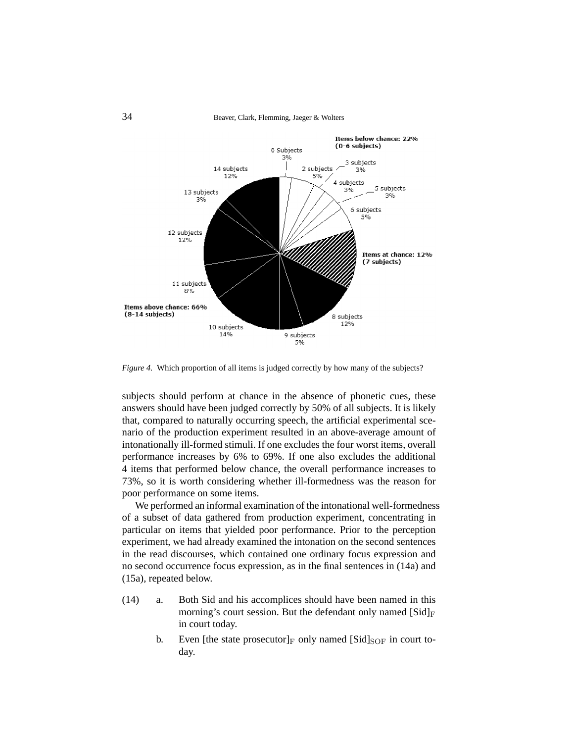

*Figure 4.* Which proportion of all items is judged correctly by how many of the subjects?

subjects should perform at chance in the absence of phonetic cues, these answers should have been judged correctly by 50% of all subjects. It is likely that, compared to naturally occurring speech, the artificial experimental scenario of the production experiment resulted in an above-average amount of intonationally ill-formed stimuli. If one excludes the four worst items, overall performance increases by 6% to 69%. If one also excludes the additional 4 items that performed below chance, the overall performance increases to 73%, so it is worth considering whether ill-formedness was the reason for poor performance on some items.

We performed an informal examination of the intonational well-formedness of a subset of data gathered from production experiment, concentrating in particular on items that yielded poor performance. Prior to the perception experiment, we had already examined the intonation on the second sentences in the read discourses, which contained one ordinary focus expression and no second occurrence focus expression, as in the final sentences in (14a) and (15a), repeated below.

- (14) a. Both Sid and his accomplices should have been named in this morning's court session. But the defendant only named  $[Sid]_F$ in court today.
	- b. Even [the state prosecutor] $_F$  only named [Sid]<sub>SOF</sub> in court today.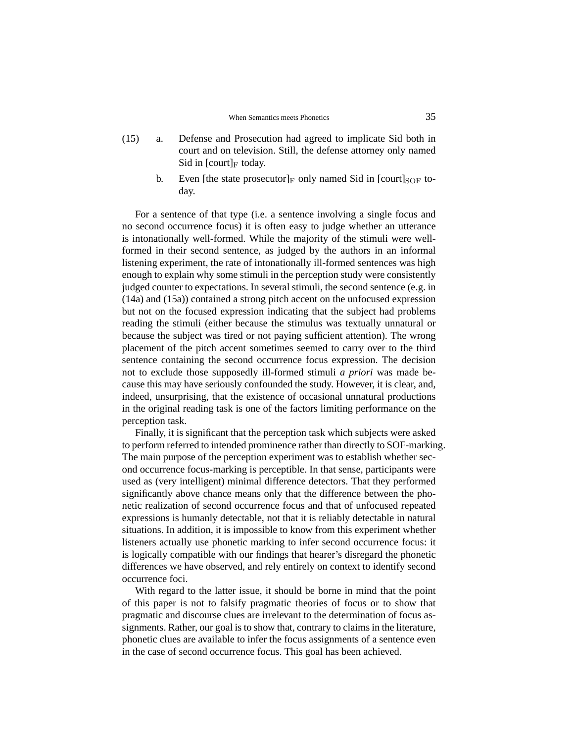- (15) a. Defense and Prosecution had agreed to implicate Sid both in court and on television. Still, the defense attorney only named Sid in  $[{\rm court}]_F$  today.
	- b. Even [the state prosecutor] $_F$  only named Sid in [court] $_{SOF}$  today.

For a sentence of that type (i.e. a sentence involving a single focus and no second occurrence focus) it is often easy to judge whether an utterance is intonationally well-formed. While the majority of the stimuli were wellformed in their second sentence, as judged by the authors in an informal listening experiment, the rate of intonationally ill-formed sentences was high enough to explain why some stimuli in the perception study were consistently judged counter to expectations. In several stimuli, the second sentence (e.g. in (14a) and (15a)) contained a strong pitch accent on the unfocused expression but not on the focused expression indicating that the subject had problems reading the stimuli (either because the stimulus was textually unnatural or because the subject was tired or not paying sufficient attention). The wrong placement of the pitch accent sometimes seemed to carry over to the third sentence containing the second occurrence focus expression. The decision not to exclude those supposedly ill-formed stimuli *a priori* was made because this may have seriously confounded the study. However, it is clear, and, indeed, unsurprising, that the existence of occasional unnatural productions in the original reading task is one of the factors limiting performance on the perception task.

Finally, it is significant that the perception task which subjects were asked to perform referred to intended prominence rather than directly to SOF-marking. The main purpose of the perception experiment was to establish whether second occurrence focus-marking is perceptible. In that sense, participants were used as (very intelligent) minimal difference detectors. That they performed significantly above chance means only that the difference between the phonetic realization of second occurrence focus and that of unfocused repeated expressions is humanly detectable, not that it is reliably detectable in natural situations. In addition, it is impossible to know from this experiment whether listeners actually use phonetic marking to infer second occurrence focus: it is logically compatible with our findings that hearer's disregard the phonetic differences we have observed, and rely entirely on context to identify second occurrence foci.

With regard to the latter issue, it should be borne in mind that the point of this paper is not to falsify pragmatic theories of focus or to show that pragmatic and discourse clues are irrelevant to the determination of focus assignments. Rather, our goal is to show that, contrary to claims in the literature, phonetic clues are available to infer the focus assignments of a sentence even in the case of second occurrence focus. This goal has been achieved.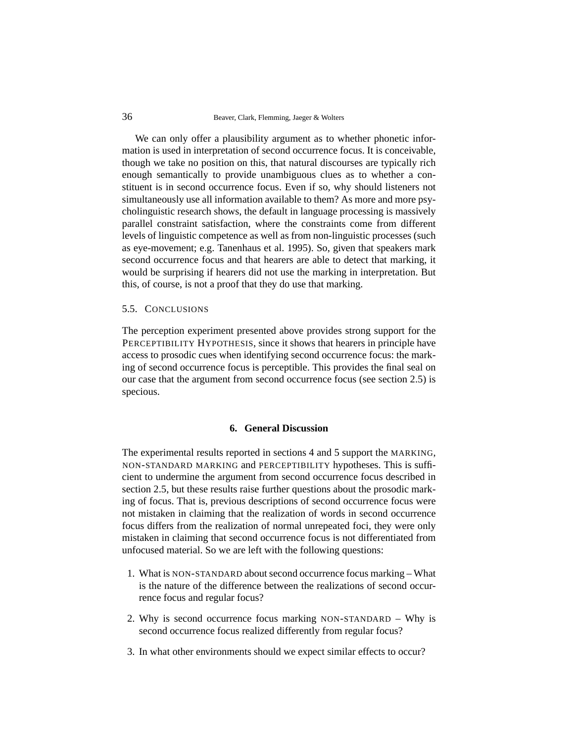We can only offer a plausibility argument as to whether phonetic information is used in interpretation of second occurrence focus. It is conceivable, though we take no position on this, that natural discourses are typically rich enough semantically to provide unambiguous clues as to whether a constituent is in second occurrence focus. Even if so, why should listeners not simultaneously use all information available to them? As more and more psycholinguistic research shows, the default in language processing is massively parallel constraint satisfaction, where the constraints come from different levels of linguistic competence as well as from non-linguistic processes (such as eye-movement; e.g. Tanenhaus et al. 1995). So, given that speakers mark second occurrence focus and that hearers are able to detect that marking, it would be surprising if hearers did not use the marking in interpretation. But this, of course, is not a proof that they do use that marking.

#### 5.5. CONCLUSIONS

The perception experiment presented above provides strong support for the PERCEPTIBILITY HYPOTHESIS, since it shows that hearers in principle have access to prosodic cues when identifying second occurrence focus: the marking of second occurrence focus is perceptible. This provides the final seal on our case that the argument from second occurrence focus (see section 2.5) is specious.

#### **6. General Discussion**

The experimental results reported in sections 4 and 5 support the MARKING, NON-STANDARD MARKING and PERCEPTIBILITY hypotheses. This is sufficient to undermine the argument from second occurrence focus described in section 2.5, but these results raise further questions about the prosodic marking of focus. That is, previous descriptions of second occurrence focus were not mistaken in claiming that the realization of words in second occurrence focus differs from the realization of normal unrepeated foci, they were only mistaken in claiming that second occurrence focus is not differentiated from unfocused material. So we are left with the following questions:

- 1. What is NON-STANDARD about second occurrence focus marking What is the nature of the difference between the realizations of second occurrence focus and regular focus?
- 2. Why is second occurrence focus marking NON-STANDARD Why is second occurrence focus realized differently from regular focus?
- 3. In what other environments should we expect similar effects to occur?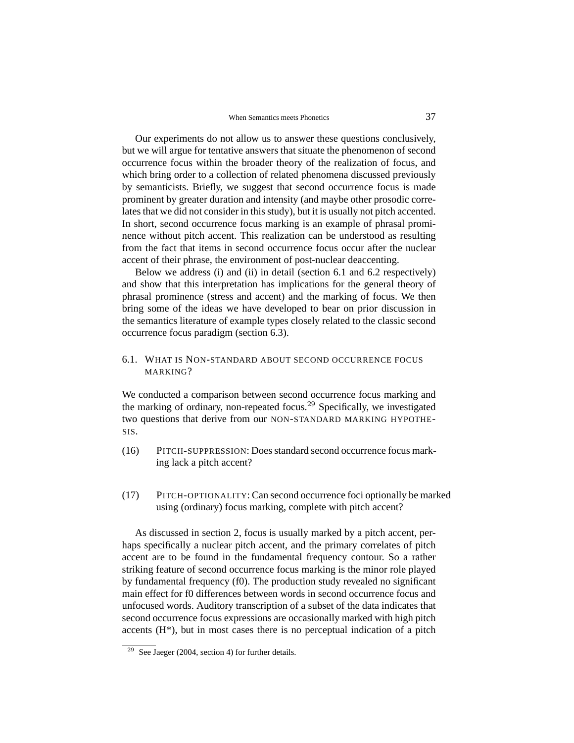Our experiments do not allow us to answer these questions conclusively, but we will argue for tentative answers that situate the phenomenon of second occurrence focus within the broader theory of the realization of focus, and which bring order to a collection of related phenomena discussed previously by semanticists. Briefly, we suggest that second occurrence focus is made prominent by greater duration and intensity (and maybe other prosodic correlates that we did not consider in this study), but it is usually not pitch accented. In short, second occurrence focus marking is an example of phrasal prominence without pitch accent. This realization can be understood as resulting from the fact that items in second occurrence focus occur after the nuclear accent of their phrase, the environment of post-nuclear deaccenting.

Below we address (i) and (ii) in detail (section 6.1 and 6.2 respectively) and show that this interpretation has implications for the general theory of phrasal prominence (stress and accent) and the marking of focus. We then bring some of the ideas we have developed to bear on prior discussion in the semantics literature of example types closely related to the classic second occurrence focus paradigm (section 6.3).

# 6.1. WHAT IS NON-STANDARD ABOUT SECOND OCCURRENCE FOCUS MARKING?

We conducted a comparison between second occurrence focus marking and the marking of ordinary, non-repeated focus.<sup>29</sup> Specifically, we investigated two questions that derive from our NON-STANDARD MARKING HYPOTHE-SIS.

- (16) PITCH-SUPPRESSION: Does standard second occurrence focus marking lack a pitch accent?
- (17) PITCH-OPTIONALITY: Can second occurrence foci optionally be marked using (ordinary) focus marking, complete with pitch accent?

As discussed in section 2, focus is usually marked by a pitch accent, perhaps specifically a nuclear pitch accent, and the primary correlates of pitch accent are to be found in the fundamental frequency contour. So a rather striking feature of second occurrence focus marking is the minor role played by fundamental frequency (f0). The production study revealed no significant main effect for f0 differences between words in second occurrence focus and unfocused words. Auditory transcription of a subset of the data indicates that second occurrence focus expressions are occasionally marked with high pitch accents  $(H^*)$ , but in most cases there is no perceptual indication of a pitch

<sup>&</sup>lt;sup>29</sup> See Jaeger (2004, section 4) for further details.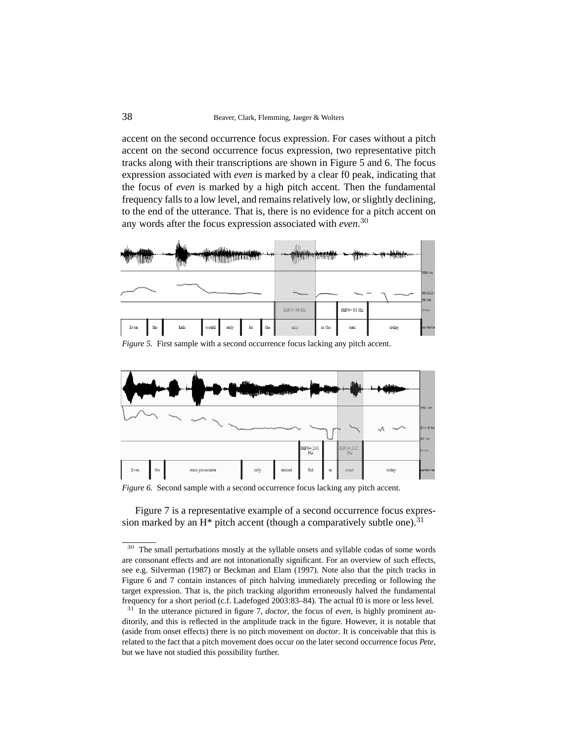accent on the second occurrence focus expression. For cases without a pitch accent on the second occurrence focus expression, two representative pitch tracks along with their transcriptions are shown in Figure 5 and 6. The focus expression associated with *even* is marked by a clear f0 peak, indicating that the focus of *even* is marked by a high pitch accent. Then the fundamental frequency falls to a low level, and remains relatively low, or slightly declining, to the end of the utterance. That is, there is no evidence for a pitch accent on any words after the focus expression associated with *even*. 30



*Figure 5.* First sample with a second occurrence focus lacking any pitch accent.



*Figure 6.* Second sample with a second occurrence focus lacking any pitch accent.

Figure 7 is a representative example of a second occurrence focus expression marked by an  $H^*$  pitch accent (though a comparatively subtle one).<sup>31</sup>

<sup>30</sup> The small perturbations mostly at the syllable onsets and syllable codas of some words are consonant effects and are not intonationally significant. For an overview of such effects, see e.g. Silverman (1987) or Beckman and Elam (1997). Note also that the pitch tracks in Figure 6 and 7 contain instances of pitch halving immediately preceding or following the target expression. That is, the pitch tracking algorithm erroneously halved the fundamental frequency for a short period (c.f. Ladefoged 2003:83–84). The actual f0 is more or less level. <sup>31</sup> In the utterance pictured in figure 7, *doctor*, the focus of *even*, is highly prominent auditorily, and this is reflected in the amplitude track in the figure. However, it is notable that (aside from onset effects) there is no pitch movement on *doctor*. It is conceivable that this is related to the fact that a pitch movement does occur on the later second occurrence focus *Pete*, but we have not studied this possibility further.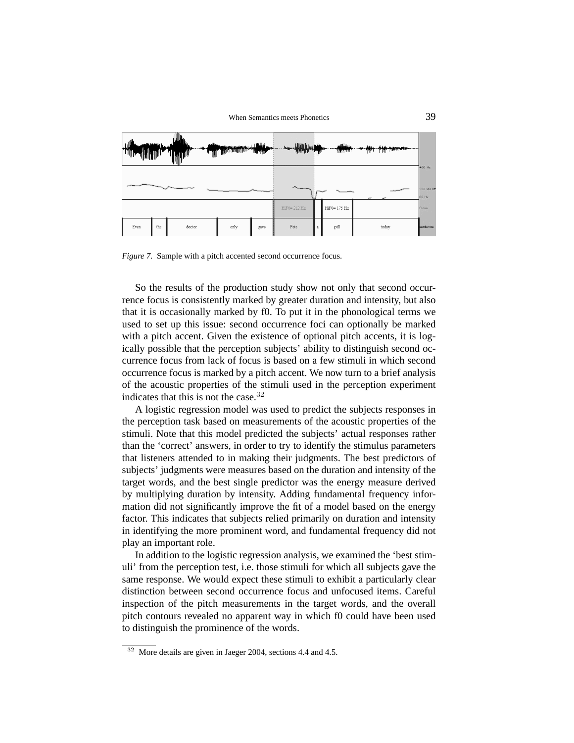

*Figure 7.* Sample with a pitch accented second occurrence focus.

So the results of the production study show not only that second occurrence focus is consistently marked by greater duration and intensity, but also that it is occasionally marked by f0. To put it in the phonological terms we used to set up this issue: second occurrence foci can optionally be marked with a pitch accent. Given the existence of optional pitch accents, it is logically possible that the perception subjects' ability to distinguish second occurrence focus from lack of focus is based on a few stimuli in which second occurrence focus is marked by a pitch accent. We now turn to a brief analysis of the acoustic properties of the stimuli used in the perception experiment indicates that this is not the case.<sup>32</sup>

A logistic regression model was used to predict the subjects responses in the perception task based on measurements of the acoustic properties of the stimuli. Note that this model predicted the subjects' actual responses rather than the 'correct' answers, in order to try to identify the stimulus parameters that listeners attended to in making their judgments. The best predictors of subjects' judgments were measures based on the duration and intensity of the target words, and the best single predictor was the energy measure derived by multiplying duration by intensity. Adding fundamental frequency information did not significantly improve the fit of a model based on the energy factor. This indicates that subjects relied primarily on duration and intensity in identifying the more prominent word, and fundamental frequency did not play an important role.

In addition to the logistic regression analysis, we examined the 'best stimuli' from the perception test, i.e. those stimuli for which all subjects gave the same response. We would expect these stimuli to exhibit a particularly clear distinction between second occurrence focus and unfocused items. Careful inspection of the pitch measurements in the target words, and the overall pitch contours revealed no apparent way in which f0 could have been used to distinguish the prominence of the words.

More details are given in Jaeger 2004, sections 4.4 and 4.5.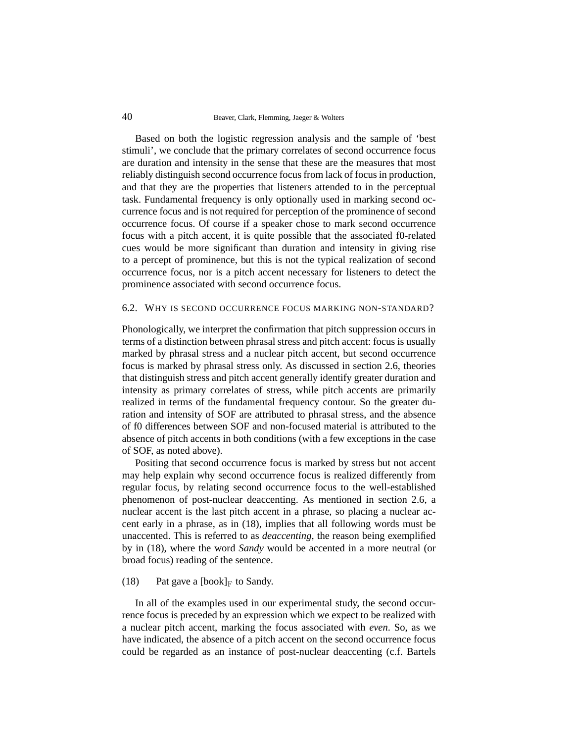Based on both the logistic regression analysis and the sample of 'best stimuli', we conclude that the primary correlates of second occurrence focus are duration and intensity in the sense that these are the measures that most reliably distinguish second occurrence focus from lack of focus in production, and that they are the properties that listeners attended to in the perceptual task. Fundamental frequency is only optionally used in marking second occurrence focus and is not required for perception of the prominence of second occurrence focus. Of course if a speaker chose to mark second occurrence focus with a pitch accent, it is quite possible that the associated f0-related cues would be more significant than duration and intensity in giving rise to a percept of prominence, but this is not the typical realization of second occurrence focus, nor is a pitch accent necessary for listeners to detect the prominence associated with second occurrence focus.

#### 6.2. WHY IS SECOND OCCURRENCE FOCUS MARKING NON-STANDARD?

Phonologically, we interpret the confirmation that pitch suppression occurs in terms of a distinction between phrasal stress and pitch accent: focus is usually marked by phrasal stress and a nuclear pitch accent, but second occurrence focus is marked by phrasal stress only. As discussed in section 2.6, theories that distinguish stress and pitch accent generally identify greater duration and intensity as primary correlates of stress, while pitch accents are primarily realized in terms of the fundamental frequency contour. So the greater duration and intensity of SOF are attributed to phrasal stress, and the absence of f0 differences between SOF and non-focused material is attributed to the absence of pitch accents in both conditions (with a few exceptions in the case of SOF, as noted above).

Positing that second occurrence focus is marked by stress but not accent may help explain why second occurrence focus is realized differently from regular focus, by relating second occurrence focus to the well-established phenomenon of post-nuclear deaccenting. As mentioned in section 2.6, a nuclear accent is the last pitch accent in a phrase, so placing a nuclear accent early in a phrase, as in (18), implies that all following words must be unaccented. This is referred to as *deaccenting*, the reason being exemplified by in (18), where the word *Sandy* would be accented in a more neutral (or broad focus) reading of the sentence.

#### (18) Pat gave a [book]<sub>F</sub> to Sandy.

In all of the examples used in our experimental study, the second occurrence focus is preceded by an expression which we expect to be realized with a nuclear pitch accent, marking the focus associated with *even*. So, as we have indicated, the absence of a pitch accent on the second occurrence focus could be regarded as an instance of post-nuclear deaccenting (c.f. Bartels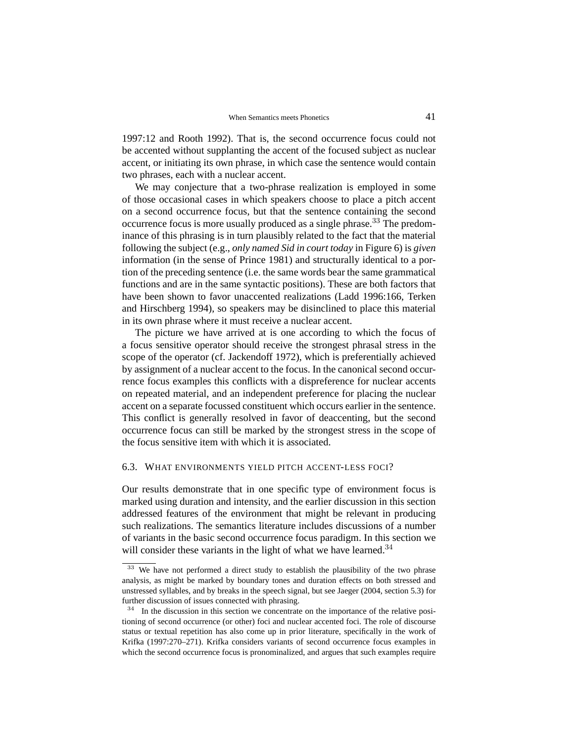1997:12 and Rooth 1992). That is, the second occurrence focus could not be accented without supplanting the accent of the focused subject as nuclear accent, or initiating its own phrase, in which case the sentence would contain two phrases, each with a nuclear accent.

We may conjecture that a two-phrase realization is employed in some of those occasional cases in which speakers choose to place a pitch accent on a second occurrence focus, but that the sentence containing the second occurrence focus is more usually produced as a single phrase.<sup>33</sup> The predominance of this phrasing is in turn plausibly related to the fact that the material following the subject (e.g., *only named Sid in court today* in Figure 6) is *given* information (in the sense of Prince 1981) and structurally identical to a portion of the preceding sentence (i.e. the same words bear the same grammatical functions and are in the same syntactic positions). These are both factors that have been shown to favor unaccented realizations (Ladd 1996:166, Terken and Hirschberg 1994), so speakers may be disinclined to place this material in its own phrase where it must receive a nuclear accent.

The picture we have arrived at is one according to which the focus of a focus sensitive operator should receive the strongest phrasal stress in the scope of the operator (cf. Jackendoff 1972), which is preferentially achieved by assignment of a nuclear accent to the focus. In the canonical second occurrence focus examples this conflicts with a dispreference for nuclear accents on repeated material, and an independent preference for placing the nuclear accent on a separate focussed constituent which occurs earlier in the sentence. This conflict is generally resolved in favor of deaccenting, but the second occurrence focus can still be marked by the strongest stress in the scope of the focus sensitive item with which it is associated.

#### 6.3. WHAT ENVIRONMENTS YIELD PITCH ACCENT-LESS FOCI?

Our results demonstrate that in one specific type of environment focus is marked using duration and intensity, and the earlier discussion in this section addressed features of the environment that might be relevant in producing such realizations. The semantics literature includes discussions of a number of variants in the basic second occurrence focus paradigm. In this section we will consider these variants in the light of what we have learned. $34$ 

We have not performed a direct study to establish the plausibility of the two phrase analysis, as might be marked by boundary tones and duration effects on both stressed and unstressed syllables, and by breaks in the speech signal, but see Jaeger (2004, section 5.3) for further discussion of issues connected with phrasing.

<sup>&</sup>lt;sup>34</sup> In the discussion in this section we concentrate on the importance of the relative positioning of second occurrence (or other) foci and nuclear accented foci. The role of discourse status or textual repetition has also come up in prior literature, specifically in the work of Krifka (1997:270–271). Krifka considers variants of second occurrence focus examples in which the second occurrence focus is pronominalized, and argues that such examples require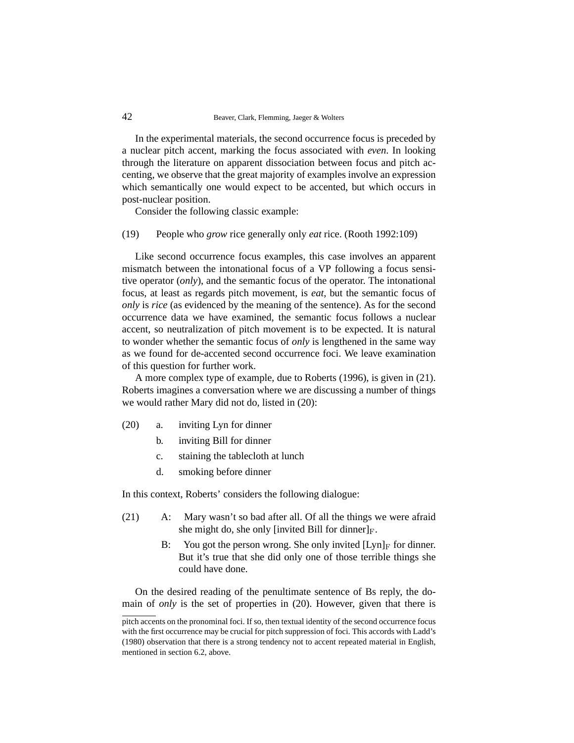In the experimental materials, the second occurrence focus is preceded by a nuclear pitch accent, marking the focus associated with *even*. In looking through the literature on apparent dissociation between focus and pitch accenting, we observe that the great majority of examples involve an expression which semantically one would expect to be accented, but which occurs in post-nuclear position.

Consider the following classic example:

(19) People who *grow* rice generally only *eat* rice. (Rooth 1992:109)

Like second occurrence focus examples, this case involves an apparent mismatch between the intonational focus of a VP following a focus sensitive operator (*only*), and the semantic focus of the operator. The intonational focus, at least as regards pitch movement, is *eat*, but the semantic focus of *only* is *rice* (as evidenced by the meaning of the sentence). As for the second occurrence data we have examined, the semantic focus follows a nuclear accent, so neutralization of pitch movement is to be expected. It is natural to wonder whether the semantic focus of *only* is lengthened in the same way as we found for de-accented second occurrence foci. We leave examination of this question for further work.

A more complex type of example, due to Roberts (1996), is given in (21). Roberts imagines a conversation where we are discussing a number of things we would rather Mary did not do, listed in (20):

- (20) a. inviting Lyn for dinner
	- b. inviting Bill for dinner
	- c. staining the tablecloth at lunch
	- d. smoking before dinner

In this context, Roberts' considers the following dialogue:

- (21) A: Mary wasn't so bad after all. Of all the things we were afraid she might do, she only [invited Bill for dinner] $_F$ .
	- B: You got the person wrong. She only invited  $[Lyn]_F$  for dinner. But it's true that she did only one of those terrible things she could have done.

On the desired reading of the penultimate sentence of Bs reply, the domain of *only* is the set of properties in (20). However, given that there is

pitch accents on the pronominal foci. If so, then textual identity of the second occurrence focus with the first occurrence may be crucial for pitch suppression of foci. This accords with Ladd's (1980) observation that there is a strong tendency not to accent repeated material in English, mentioned in section 6.2, above.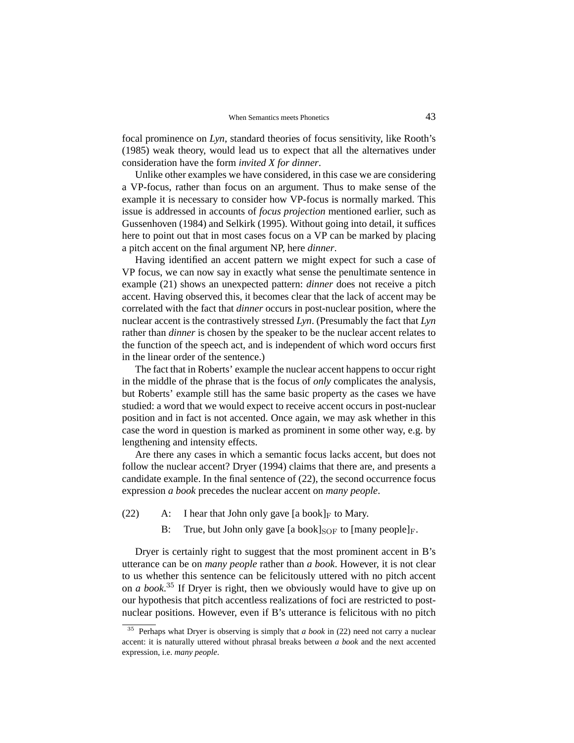focal prominence on *Lyn*, standard theories of focus sensitivity, like Rooth's (1985) weak theory, would lead us to expect that all the alternatives under consideration have the form *invited X for dinner*.

Unlike other examples we have considered, in this case we are considering a VP-focus, rather than focus on an argument. Thus to make sense of the example it is necessary to consider how VP-focus is normally marked. This issue is addressed in accounts of *focus projection* mentioned earlier, such as Gussenhoven (1984) and Selkirk (1995). Without going into detail, it suffices here to point out that in most cases focus on a VP can be marked by placing a pitch accent on the final argument NP, here *dinner*.

Having identified an accent pattern we might expect for such a case of VP focus, we can now say in exactly what sense the penultimate sentence in example (21) shows an unexpected pattern: *dinner* does not receive a pitch accent. Having observed this, it becomes clear that the lack of accent may be correlated with the fact that *dinner* occurs in post-nuclear position, where the nuclear accent is the contrastively stressed *Lyn*. (Presumably the fact that *Lyn* rather than *dinner* is chosen by the speaker to be the nuclear accent relates to the function of the speech act, and is independent of which word occurs first in the linear order of the sentence.)

The fact that in Roberts' example the nuclear accent happens to occur right in the middle of the phrase that is the focus of *only* complicates the analysis, but Roberts' example still has the same basic property as the cases we have studied: a word that we would expect to receive accent occurs in post-nuclear position and in fact is not accented. Once again, we may ask whether in this case the word in question is marked as prominent in some other way, e.g. by lengthening and intensity effects.

Are there any cases in which a semantic focus lacks accent, but does not follow the nuclear accent? Dryer (1994) claims that there are, and presents a candidate example. In the final sentence of (22), the second occurrence focus expression *a book* precedes the nuclear accent on *many people*.

- (22) A: I hear that John only gave  $[a \text{ book}]_F$  to Mary.
	- B: True, but John only gave [a book] $_{\text{SOF}}$  to [many people] $_{\text{F}}$ .

Dryer is certainly right to suggest that the most prominent accent in B's utterance can be on *many people* rather than *a book*. However, it is not clear to us whether this sentence can be felicitously uttered with no pitch accent on *a book*. <sup>35</sup> If Dryer is right, then we obviously would have to give up on our hypothesis that pitch accentless realizations of foci are restricted to postnuclear positions. However, even if B's utterance is felicitous with no pitch

<sup>35</sup> Perhaps what Dryer is observing is simply that *a book* in (22) need not carry a nuclear accent: it is naturally uttered without phrasal breaks between *a book* and the next accented expression, i.e. *many people*.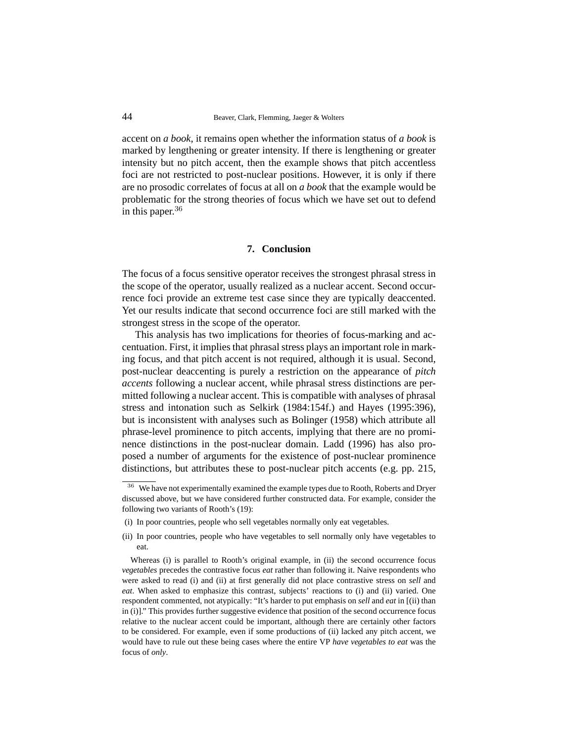accent on *a book*, it remains open whether the information status of *a book* is marked by lengthening or greater intensity. If there is lengthening or greater intensity but no pitch accent, then the example shows that pitch accentless foci are not restricted to post-nuclear positions. However, it is only if there are no prosodic correlates of focus at all on *a book* that the example would be problematic for the strong theories of focus which we have set out to defend in this paper.<sup>36</sup>

## **7. Conclusion**

The focus of a focus sensitive operator receives the strongest phrasal stress in the scope of the operator, usually realized as a nuclear accent. Second occurrence foci provide an extreme test case since they are typically deaccented. Yet our results indicate that second occurrence foci are still marked with the strongest stress in the scope of the operator.

This analysis has two implications for theories of focus-marking and accentuation. First, it implies that phrasal stress plays an important role in marking focus, and that pitch accent is not required, although it is usual. Second, post-nuclear deaccenting is purely a restriction on the appearance of *pitch accents* following a nuclear accent, while phrasal stress distinctions are permitted following a nuclear accent. This is compatible with analyses of phrasal stress and intonation such as Selkirk (1984:154f.) and Hayes (1995:396), but is inconsistent with analyses such as Bolinger (1958) which attribute all phrase-level prominence to pitch accents, implying that there are no prominence distinctions in the post-nuclear domain. Ladd (1996) has also proposed a number of arguments for the existence of post-nuclear prominence distinctions, but attributes these to post-nuclear pitch accents (e.g. pp. 215,

- (i) In poor countries, people who sell vegetables normally only eat vegetables.
- (ii) In poor countries, people who have vegetables to sell normally only have vegetables to eat.

<sup>&</sup>lt;sup>36</sup> We have not experimentally examined the example types due to Rooth, Roberts and Dryer discussed above, but we have considered further constructed data. For example, consider the following two variants of Rooth's (19):

Whereas (i) is parallel to Rooth's original example, in (ii) the second occurrence focus *vegetables* precedes the contrastive focus *eat* rather than following it. Naive respondents who were asked to read (i) and (ii) at first generally did not place contrastive stress on *sell* and *eat*. When asked to emphasize this contrast, subjects' reactions to (i) and (ii) varied. One respondent commented, not atypically: "It's harder to put emphasis on *sell* and *eat* in [(ii) than in (i)]." This provides further suggestive evidence that position of the second occurrence focus relative to the nuclear accent could be important, although there are certainly other factors to be considered. For example, even if some productions of (ii) lacked any pitch accent, we would have to rule out these being cases where the entire VP *have vegetables to eat* was the focus of *only*.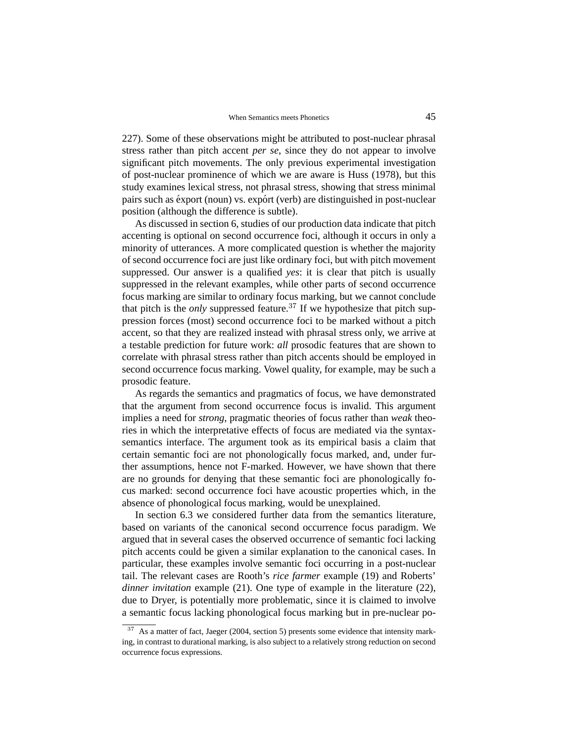227). Some of these observations might be attributed to post-nuclear phrasal stress rather than pitch accent *per se*, since they do not appear to involve significant pitch movements. The only previous experimental investigation of post-nuclear prominence of which we are aware is Huss (1978), but this study examines lexical stress, not phrasal stress, showing that stress minimal pairs such as éxport (noun) vs. expórt (verb) are distinguished in post-nuclear position (although the difference is subtle).

As discussed in section 6, studies of our production data indicate that pitch accenting is optional on second occurrence foci, although it occurs in only a minority of utterances. A more complicated question is whether the majority of second occurrence foci are just like ordinary foci, but with pitch movement suppressed. Our answer is a qualified *yes*: it is clear that pitch is usually suppressed in the relevant examples, while other parts of second occurrence focus marking are similar to ordinary focus marking, but we cannot conclude that pitch is the *only* suppressed feature.<sup>37</sup> If we hypothesize that pitch suppression forces (most) second occurrence foci to be marked without a pitch accent, so that they are realized instead with phrasal stress only, we arrive at a testable prediction for future work: *all* prosodic features that are shown to correlate with phrasal stress rather than pitch accents should be employed in second occurrence focus marking. Vowel quality, for example, may be such a prosodic feature.

As regards the semantics and pragmatics of focus, we have demonstrated that the argument from second occurrence focus is invalid. This argument implies a need for *strong*, pragmatic theories of focus rather than *weak* theories in which the interpretative effects of focus are mediated via the syntaxsemantics interface. The argument took as its empirical basis a claim that certain semantic foci are not phonologically focus marked, and, under further assumptions, hence not F-marked. However, we have shown that there are no grounds for denying that these semantic foci are phonologically focus marked: second occurrence foci have acoustic properties which, in the absence of phonological focus marking, would be unexplained.

In section 6.3 we considered further data from the semantics literature, based on variants of the canonical second occurrence focus paradigm. We argued that in several cases the observed occurrence of semantic foci lacking pitch accents could be given a similar explanation to the canonical cases. In particular, these examples involve semantic foci occurring in a post-nuclear tail. The relevant cases are Rooth's *rice farmer* example (19) and Roberts' *dinner invitation* example (21). One type of example in the literature (22), due to Dryer, is potentially more problematic, since it is claimed to involve a semantic focus lacking phonological focus marking but in pre-nuclear po-

 $37$  As a matter of fact, Jaeger (2004, section 5) presents some evidence that intensity marking, in contrast to durational marking, is also subject to a relatively strong reduction on second occurrence focus expressions.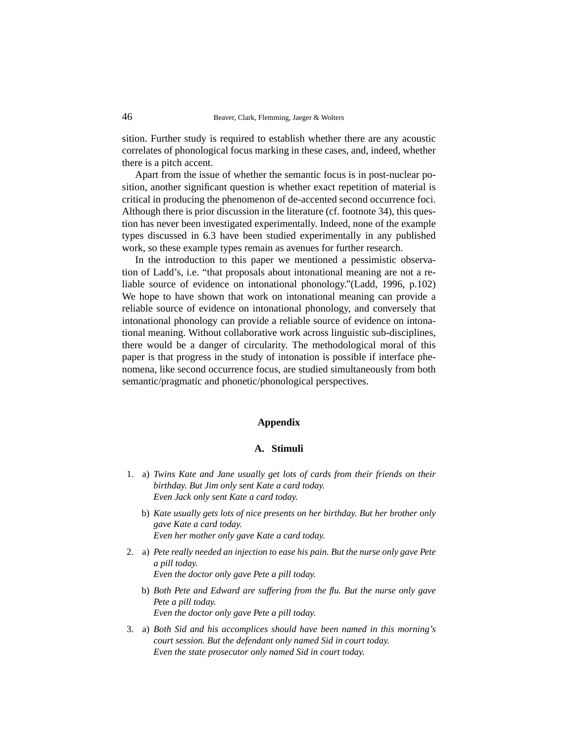sition. Further study is required to establish whether there are any acoustic correlates of phonological focus marking in these cases, and, indeed, whether there is a pitch accent.

Apart from the issue of whether the semantic focus is in post-nuclear position, another significant question is whether exact repetition of material is critical in producing the phenomenon of de-accented second occurrence foci. Although there is prior discussion in the literature (cf. footnote 34), this question has never been investigated experimentally. Indeed, none of the example types discussed in 6.3 have been studied experimentally in any published work, so these example types remain as avenues for further research.

In the introduction to this paper we mentioned a pessimistic observation of Ladd's, i.e. "that proposals about intonational meaning are not a reliable source of evidence on intonational phonology."(Ladd, 1996, p.102) We hope to have shown that work on intonational meaning can provide a reliable source of evidence on intonational phonology, and conversely that intonational phonology can provide a reliable source of evidence on intonational meaning. Without collaborative work across linguistic sub-disciplines, there would be a danger of circularity. The methodological moral of this paper is that progress in the study of intonation is possible if interface phenomena, like second occurrence focus, are studied simultaneously from both semantic/pragmatic and phonetic/phonological perspectives.

### **Appendix**

#### **A. Stimuli**

- 1. a) *Twins Kate and Jane usually get lots of cards from their friends on their birthday. But Jim only sent Kate a card today. Even Jack only sent Kate a card today.*
	- b) *Kate usually gets lots of nice presents on her birthday. But her brother only gave Kate a card today. Even her mother only gave Kate a card today.*
- 2. a) *Pete really needed an injection to ease his pain. But the nurse only gave Pete a pill today. Even the doctor only gave Pete a pill today.*
	- b) *Both Pete and Edward are suffering from the flu. But the nurse only gave Pete a pill today. Even the doctor only gave Pete a pill today.*
- 3. a) *Both Sid and his accomplices should have been named in this morning's court session. But the defendant only named Sid in court today. Even the state prosecutor only named Sid in court today.*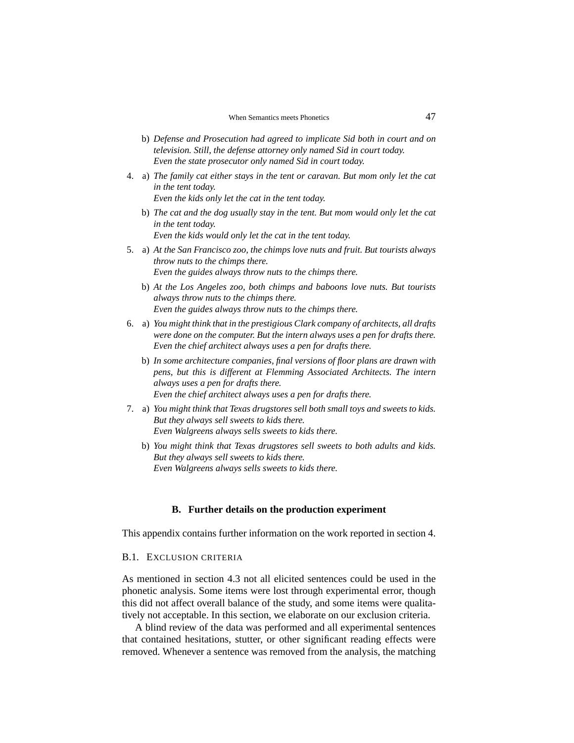- b) *Defense and Prosecution had agreed to implicate Sid both in court and on television. Still, the defense attorney only named Sid in court today. Even the state prosecutor only named Sid in court today.*
- 4. a) *The family cat either stays in the tent or caravan. But mom only let the cat in the tent today. Even the kids only let the cat in the tent today.*
	-
	- b) *The cat and the dog usually stay in the tent. But mom would only let the cat in the tent today.*

*Even the kids would only let the cat in the tent today.*

- 5. a) *At the San Francisco zoo, the chimps love nuts and fruit. But tourists always throw nuts to the chimps there. Even the guides always throw nuts to the chimps there.*
	- b) *At the Los Angeles zoo, both chimps and baboons love nuts. But tourists always throw nuts to the chimps there. Even the guides always throw nuts to the chimps there.*
- 6. a) *You might think that in the prestigious Clark company of architects, all drafts were done on the computer. But the intern always uses a pen for drafts there. Even the chief architect always uses a pen for drafts there.*
	- b) *In some architecture companies, final versions of floor plans are drawn with pens, but this is different at Flemming Associated Architects. The intern always uses a pen for drafts there. Even the chief architect always uses a pen for drafts there.*
- 7. a) *You might think that Texas drugstores sell both small toys and sweets to kids. But they always sell sweets to kids there. Even Walgreens always sells sweets to kids there.*
	- b) *You might think that Texas drugstores sell sweets to both adults and kids. But they always sell sweets to kids there. Even Walgreens always sells sweets to kids there.*

#### **B. Further details on the production experiment**

This appendix contains further information on the work reported in section 4.

### B.1. EXCLUSION CRITERIA

As mentioned in section 4.3 not all elicited sentences could be used in the phonetic analysis. Some items were lost through experimental error, though this did not affect overall balance of the study, and some items were qualitatively not acceptable. In this section, we elaborate on our exclusion criteria.

A blind review of the data was performed and all experimental sentences that contained hesitations, stutter, or other significant reading effects were removed. Whenever a sentence was removed from the analysis, the matching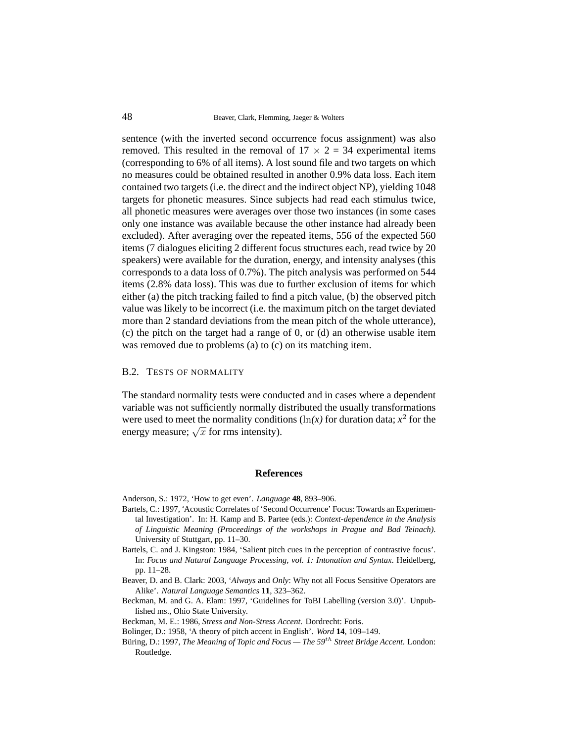sentence (with the inverted second occurrence focus assignment) was also removed. This resulted in the removal of  $17 \times 2 = 34$  experimental items (corresponding to 6% of all items). A lost sound file and two targets on which no measures could be obtained resulted in another 0.9% data loss. Each item contained two targets (i.e. the direct and the indirect object NP), yielding 1048 targets for phonetic measures. Since subjects had read each stimulus twice, all phonetic measures were averages over those two instances (in some cases only one instance was available because the other instance had already been excluded). After averaging over the repeated items, 556 of the expected 560 items (7 dialogues eliciting 2 different focus structures each, read twice by 20 speakers) were available for the duration, energy, and intensity analyses (this corresponds to a data loss of 0.7%). The pitch analysis was performed on 544 items (2.8% data loss). This was due to further exclusion of items for which either (a) the pitch tracking failed to find a pitch value, (b) the observed pitch value was likely to be incorrect (i.e. the maximum pitch on the target deviated more than 2 standard deviations from the mean pitch of the whole utterance), (c) the pitch on the target had a range of 0, or (d) an otherwise usable item was removed due to problems (a) to (c) on its matching item.

### B.2. TESTS OF NORMALITY

The standard normality tests were conducted and in cases where a dependent variable was not sufficiently normally distributed the usually transformations were used to meet the normality conditions ( $\ln(x)$  for duration data;  $x^2$  for the energy measure;  $\sqrt{x}$  for rms intensity).

#### **References**

Anderson, S.: 1972, 'How to get even'. *Language* **48**, 893–906.

- Bartels, C.: 1997, 'Acoustic Correlates of 'Second Occurrence' Focus: Towards an Experimental Investigation'. In: H. Kamp and B. Partee (eds.): *Context-dependence in the Analysis of Linguistic Meaning (Proceedings of the workshops in Prague and Bad Teinach)*. University of Stuttgart, pp. 11–30.
- Bartels, C. and J. Kingston: 1984, 'Salient pitch cues in the perception of contrastive focus'. In: *Focus and Natural Language Processing, vol. 1: Intonation and Syntax*. Heidelberg, pp. 11–28.
- Beaver, D. and B. Clark: 2003, '*Always* and *Only*: Why not all Focus Sensitive Operators are Alike'. *Natural Language Semantics* **11**, 323–362.
- Beckman, M. and G. A. Elam: 1997, 'Guidelines for ToBI Labelling (version 3.0)'. Unpublished ms., Ohio State University.
- Beckman, M. E.: 1986, *Stress and Non-Stress Accent*. Dordrecht: Foris.
- Bolinger, D.: 1958, 'A theory of pitch accent in English'. *Word* **14**, 109–149.
- Büring, D.: 1997, *The Meaning of Topic and Focus The 59<sup>th</sup> Street Bridge Accent*. London: Routledge.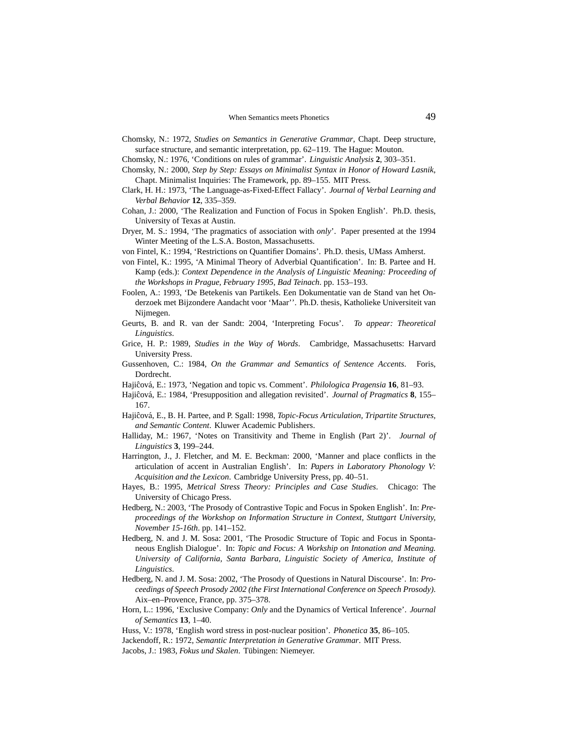- Chomsky, N.: 1972, *Studies on Semantics in Generative Grammar*, Chapt. Deep structure, surface structure, and semantic interpretation, pp. 62–119. The Hague: Mouton.
- Chomsky, N.: 1976, 'Conditions on rules of grammar'. *Linguistic Analysis* **2**, 303–351.
- Chomsky, N.: 2000, *Step by Step: Essays on Minimalist Syntax in Honor of Howard Lasnik*, Chapt. Minimalist Inquiries: The Framework, pp. 89–155. MIT Press.
- Clark, H. H.: 1973, 'The Language-as-Fixed-Effect Fallacy'. *Journal of Verbal Learning and Verbal Behavior* **12**, 335–359.
- Cohan, J.: 2000, 'The Realization and Function of Focus in Spoken English'. Ph.D. thesis, University of Texas at Austin.
- Dryer, M. S.: 1994, 'The pragmatics of association with *only*'. Paper presented at the 1994 Winter Meeting of the L.S.A. Boston, Massachusetts.
- von Fintel, K.: 1994, 'Restrictions on Quantifier Domains'. Ph.D. thesis, UMass Amherst.
- von Fintel, K.: 1995, 'A Minimal Theory of Adverbial Quantification'. In: B. Partee and H. Kamp (eds.): *Context Dependence in the Analysis of Linguistic Meaning: Proceeding of the Workshops in Prague, February 1995, Bad Teinach*. pp. 153–193.
- Foolen, A.: 1993, 'De Betekenis van Partikels. Een Dokumentatie van de Stand van het Onderzoek met Bijzondere Aandacht voor 'Maar''. Ph.D. thesis, Katholieke Universiteit van Nijmegen.
- Geurts, B. and R. van der Sandt: 2004, 'Interpreting Focus'. *To appear: Theoretical Linguistics*.
- Grice, H. P.: 1989, *Studies in the Way of Words*. Cambridge, Massachusetts: Harvard University Press.
- Gussenhoven, C.: 1984, *On the Grammar and Semantics of Sentence Accents*. Foris, Dordrecht.
- Hajiĉová, E.: 1973, 'Negation and topic vs. Comment'. *Philologica Pragensia* 16, 81–93.
- Hajiĉová, E.: 1984, 'Presupposition and allegation revisited'. *Journal of Pragmatics* 8, 155– 167.
- Hajiĉová, E., B. H. Partee, and P. Sgall: 1998, *Topic-Focus Articulation, Tripartite Structures*, *and Semantic Content*. Kluwer Academic Publishers.
- Halliday, M.: 1967, 'Notes on Transitivity and Theme in English (Part 2)'. *Journal of Linguistics* **3**, 199–244.
- Harrington, J., J. Fletcher, and M. E. Beckman: 2000, 'Manner and place conflicts in the articulation of accent in Australian English'. In: *Papers in Laboratory Phonology V: Acquisition and the Lexicon*. Cambridge University Press, pp. 40–51.
- Hayes, B.: 1995, *Metrical Stress Theory: Principles and Case Studies*. Chicago: The University of Chicago Press.
- Hedberg, N.: 2003, 'The Prosody of Contrastive Topic and Focus in Spoken English'. In: *Preproceedings of the Workshop on Information Structure in Context, Stuttgart University, November 15-16th*. pp. 141–152.
- Hedberg, N. and J. M. Sosa: 2001, 'The Prosodic Structure of Topic and Focus in Spontaneous English Dialogue'. In: *Topic and Focus: A Workship on Intonation and Meaning. University of California, Santa Barbara, Linguistic Society of America, Institute of Linguistics*.
- Hedberg, N. and J. M. Sosa: 2002, 'The Prosody of Questions in Natural Discourse'. In: *Proceedings of Speech Prosody 2002 (the First International Conference on Speech Prosody)*. Aix–en–Provence, France, pp. 375–378.
- Horn, L.: 1996, 'Exclusive Company: *Only* and the Dynamics of Vertical Inference'. *Journal of Semantics* **13**, 1–40.
- Huss, V.: 1978, 'English word stress in post-nuclear position'. *Phonetica* **35**, 86–105.
- Jackendoff, R.: 1972, *Semantic Interpretation in Generative Grammar*. MIT Press.
- Jacobs, J.: 1983, *Fokus und Skalen*. Tübingen: Niemeyer.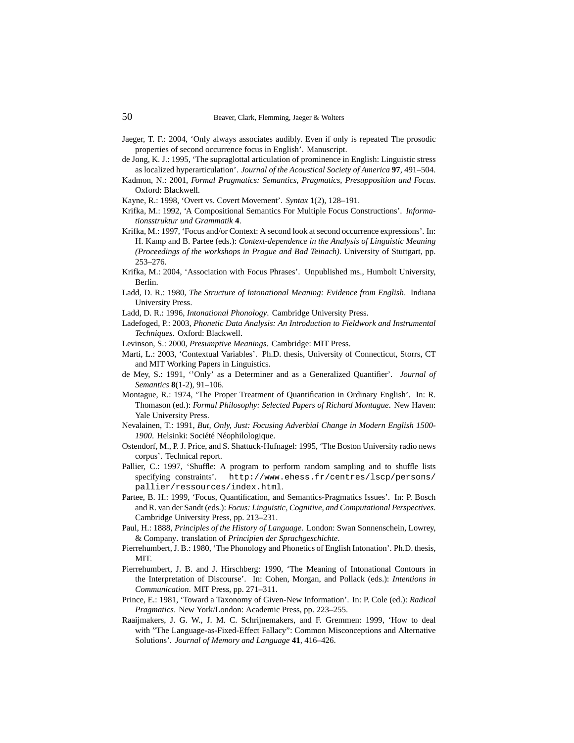- Jaeger, T. F.: 2004, 'Only always associates audibly. Even if only is repeated The prosodic properties of second occurrence focus in English'. Manuscript.
- de Jong, K. J.: 1995, 'The supraglottal articulation of prominence in English: Linguistic stress as localized hyperarticulation'. *Journal of the Acoustical Society of America* **97**, 491–504.
- Kadmon, N.: 2001, *Formal Pragmatics: Semantics, Pragmatics, Presupposition and Focus*. Oxford: Blackwell.
- Kayne, R.: 1998, 'Overt vs. Covert Movement'. *Syntax* **1**(2), 128–191.
- Krifka, M.: 1992, 'A Compositional Semantics For Multiple Focus Constructions'. *Informationsstruktur und Grammatik* **4**.
- Krifka, M.: 1997, 'Focus and/or Context: A second look at second occurrence expressions'. In: H. Kamp and B. Partee (eds.): *Context-dependence in the Analysis of Linguistic Meaning (Proceedings of the workshops in Prague and Bad Teinach)*. University of Stuttgart, pp. 253–276.
- Krifka, M.: 2004, 'Association with Focus Phrases'. Unpublished ms., Humbolt University, Berlin.
- Ladd, D. R.: 1980, *The Structure of Intonational Meaning: Evidence from English*. Indiana University Press.
- Ladd, D. R.: 1996, *Intonational Phonology*. Cambridge University Press.
- Ladefoged, P.: 2003, *Phonetic Data Analysis: An Introduction to Fieldwork and Instrumental Techniques*. Oxford: Blackwell.
- Levinson, S.: 2000, *Presumptive Meanings*. Cambridge: MIT Press.
- Martí, L.: 2003, 'Contextual Variables'. Ph.D. thesis, University of Connecticut, Storrs, CT and MIT Working Papers in Linguistics.
- de Mey, S.: 1991, ''Only' as a Determiner and as a Generalized Quantifier'. *Journal of Semantics* **8**(1-2), 91–106.
- Montague, R.: 1974, 'The Proper Treatment of Quantification in Ordinary English'. In: R. Thomason (ed.): *Formal Philosophy: Selected Papers of Richard Montague*. New Haven: Yale University Press.
- Nevalainen, T.: 1991, *But, Only, Just: Focusing Adverbial Change in Modern English 1500-* 1900. Helsinki: Société Néophilologique.
- Ostendorf, M., P. J. Price, and S. Shattuck-Hufnagel: 1995, 'The Boston University radio news corpus'. Technical report.
- Pallier, C.: 1997, 'Shuffle: A program to perform random sampling and to shuffle lists specifying constraints'. http://www.ehess.fr/centres/lscp/persons/ pallier/ressources/index.html.
- Partee, B. H.: 1999, 'Focus, Quantification, and Semantics-Pragmatics Issues'. In: P. Bosch and R. van der Sandt (eds.): *Focus: Linguistic, Cognitive, and Computational Perspectives*. Cambridge University Press, pp. 213–231.
- Paul, H.: 1888, *Principles of the History of Language*. London: Swan Sonnenschein, Lowrey, & Company. translation of *Principien der Sprachgeschichte*.
- Pierrehumbert, J. B.: 1980, 'The Phonology and Phonetics of English Intonation'. Ph.D. thesis, MIT.
- Pierrehumbert, J. B. and J. Hirschberg: 1990, 'The Meaning of Intonational Contours in the Interpretation of Discourse'. In: Cohen, Morgan, and Pollack (eds.): *Intentions in Communication*. MIT Press, pp. 271–311.
- Prince, E.: 1981, 'Toward a Taxonomy of Given-New Information'. In: P. Cole (ed.): *Radical Pragmatics*. New York/London: Academic Press, pp. 223–255.
- Raaijmakers, J. G. W., J. M. C. Schrijnemakers, and F. Gremmen: 1999, 'How to deal with "The Language-as-Fixed-Effect Fallacy": Common Misconceptions and Alternative Solutions'. *Journal of Memory and Language* **41**, 416–426.